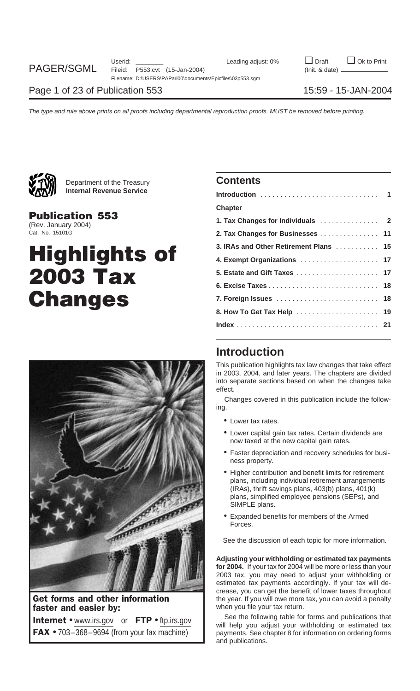

Department of the Treasury **Contents Internal Revenue Service** 

# **Highlights of 5. Estate and Gift Taxes** ..................... **<sup>17</sup> 2003 Tax 6. Excise Taxes** ............................ **<sup>18</sup>**  $$



# faster and easier by:

| <b>YA'A'///</b><br><b>Internal Revenue Service</b> |                                       |  |
|----------------------------------------------------|---------------------------------------|--|
|                                                    | <b>Chapter</b>                        |  |
| <b>Publication 553</b><br>(Rev. January 2004)      |                                       |  |
| Cat. No. 15101G                                    |                                       |  |
|                                                    | 3. IRAs and Other Retirement Plans 15 |  |
| <b>Highlights of</b>                               | 4. Exempt Organizations  17           |  |
| <b>2003 Tax</b>                                    |                                       |  |
|                                                    |                                       |  |
| <b>Changes</b>                                     |                                       |  |
|                                                    |                                       |  |
|                                                    |                                       |  |
|                                                    |                                       |  |

## **Introduction**

This publication highlights tax law changes that take effect in 2003, 2004, and later years. The chapters are divided into separate sections based on when the changes take effect.

Changes covered in this publication include the following.

- Lower tax rates.
- Lower capital gain tax rates. Certain dividends are now taxed at the new capital gain rates.
- Faster depreciation and recovery schedules for business property.
- Higher contribution and benefit limits for retirement plans, including individual retirement arrangements (IRAs), thrift savings plans, 403(b) plans, 401(k) plans, simplified employee pensions (SEPs), and SIMPLE plans.
- Expanded benefits for members of the Armed Forces.

See the discussion of each topic for more information.

**Adjusting your withholding or estimated tax payments for 2004.** If your tax for 2004 will be more or less than your 2003 tax, you may need to adjust your withholding or estimated tax payments accordingly. If your tax will decrease, you can get the benefit of lower taxes throughout Get forms and other information **the seare the year.** If you will owe more tax, you can avoid a penalty faster and easier by:

Internet • www.irs.gov or FTP • ftp.irs.gov See the following table for forms and publications that will help you adjust your withholding or estimated tax FAX • 703-368-9694 (from your fax machine) payments. See chapter 8 for information on ordering forms and publications.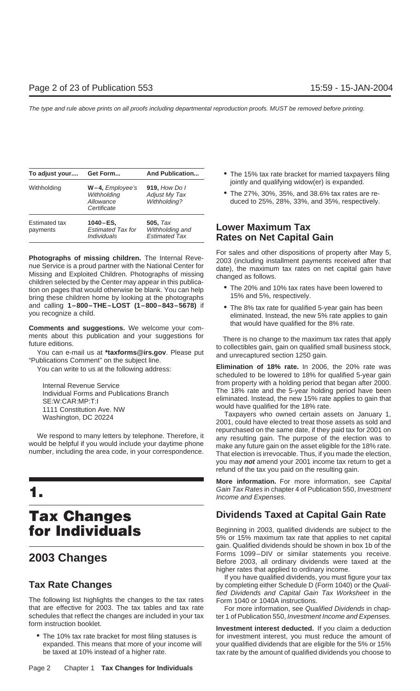| To adjust your                   | Get Form                                                             | <b>And Publication</b>                                     |
|----------------------------------|----------------------------------------------------------------------|------------------------------------------------------------|
| Withholding                      | $W-4$ , <i>Employee's</i><br>Withholding<br>Allowance<br>Certificate | 919, How Do I<br><b>Adjust My Tax</b><br>Withholding?      |
| <b>Estimated tax</b><br>payments | $1040 - ES$<br><b>Estimated Tax for</b><br><i>Individuals</i>        | <b>505.</b> Tax<br>Withholding and<br><b>Estimated Tax</b> |

**Photographs of missing children.** The Internal Reve-<br>nue Service is a proud partner with the National Center for<br>Missing and Exploited Children. Photographs of missing<br>changed as follows.<br>children selected by the Center m children selected by the Center may appear in this publica-<br>tion on pages that would otherwise be blank. You can help • The 20% and 10% tax rates have been lowered to<br>bring these children home by looking at the photographs bring these children home by looking at the photographs and calling **1–800–THE–LOST (1–800–843–5678)** if • The 8% tax rate for qualified 5-year gain has been you recognize a child.

that would have qualified for the 8% rate. **Comments and suggestions.** We welcome your com-

The following list highlights the changes to the tax rates Form 1040 or 1040A instructions. that are effective for 2003. The tax tables and tax rate For more information, see Qualified Dividends in chapschedules that reflect the changes are included in your tax ter 1 of Publication 550, Investment Income and Expenses. form instruction booklet. **Investment interest deducted.** If you claim a deduction

- **•** The 15% tax rate bracket for married taxpayers filing jointly and qualifying widow(er) is expanded.
- $\bullet$  The 27%, 30%, 35%, and 38.6% tax rates are reduced to  $25\%$ ,  $28\%$ ,  $33\%$ , and  $35\%$ , respectively.

## **Lower Maximum Tax Rates on Net Capital Gain**

- 
- 

ments about this publication and your suggestions for<br>future editions.<br>There is no change to the maximum tax rates that apply<br>to collectibles gain, gain on qualified small business stock,<br>"Publications Comment" on the subj

You can write to us at the following address: **Elimination of 18% rate.** In 2006, the 20% rate was scheduled to be lowered to 18% for qualified 5-year gain Internal Revenue Service<br>
Individual Forms and Publications Branch<br>
SE:W:CAR:MP:T:I<br>
1111 Constitution Ave. NW<br>
1111 Constitution Ave. NW<br>
1111 Constitution Ave. NW<br>
112 Constitution Ave. NW

Washington, DC 20224 Taxpayers who owned certain assets on January 1, 2001, could have elected to treat those assets as sold and We respond to many letters by telephone. Therefore, it<br>would be helpful if you would include your daytime phone<br>number, including the area code, in your correspondence. That election is irrevocable. Thus, if you made the e you may **not** amend your 2001 income tax return to get a refund of the tax you paid on the resulting gain.

> **More information.** For more information, see Capital Gain Tax Rates in chapter 4 of Publication 550, Investment **1.** Income and Expenses.

## **Tax Changes Dividends Taxed at Capital Gain Rate**

**for Individuals for Individuals beginning in 2003**, qualified dividends are subject to the subject to the subject to the subject to the subject to the subject to the subject **in the subject of the subject** onet capita gain. Qualified dividends should be shown in box 1b of the **2003 Changes 2003 Changes 2003 Changes Before 2003**, all ordinary dividends were taxed at the higher rates that applied to ordinary income.

If you have qualified dividends, you must figure your tax **Tax Rate Changes** by completing either Schedule D (Form 1040) or the Qualified Dividends and Capital Gain Tax Worksheet in the

• The 10% tax rate bracket for most filing statuses is for investment interest, you must reduce the amount of expanded. This means that more of your income will your qualified dividends that are eligible for the 5% or 15% be taxed at 10% instead of a higher rate. tax rate by the amount of qualified dividends you choose to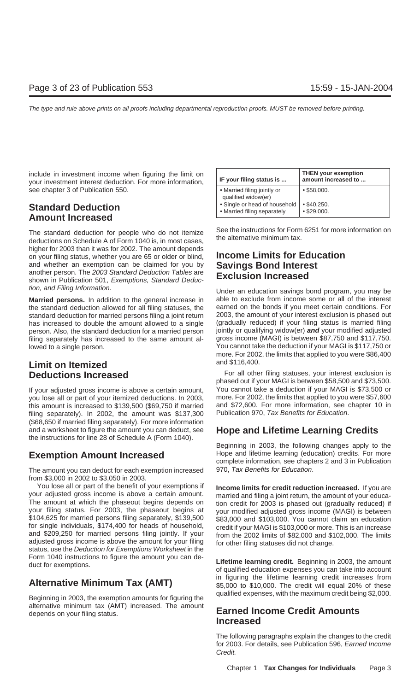include in investment income when figuring the limit on **IF your investment interest deduction. For more information,** see chapter 3 of Publication 550.

## **Standard Deduction Amount Increased**

higher for 2003 than it was for 2002. The amount depends on your filing status, whether you are 65 or older or blind, **Income Limits for Education** and whether an exemption can be claimed for you by **Savings Bond Interest** another person. The 2003 Standard Deduction Tables are **Exclusion Increased** shown in Publication 501, *Exemptions, Standard Deduc-* **Exclusion Inc** tion, and Filing Information. Under an education savings bond program, you may be

the standard deduction allowed for all filing statuses, the earned on the bonds if you meet certain conditions. For standard deduction for married persons filing a joint return 2003, the amount of your interest exclusion is phased out has increased to double the amount allowed to a single (gradually reduced) if your filing status is married filing person. Also, the standard deduction for a married person jointly or qualifying widow(er) **and** your modified adjusted filing separately has increased to the same amount al- gross income (MAGI) is between \$87,750 and \$117,750. lowed to a single person. You cannot take the deduction if your MAGI is \$117,750 or

# and \$116,400. **Limit on Itemized**

you lose all or part of your itemized deductions. In 2003, more. For 2002, the limits that applied to you were \$57,600<br>this amount is increased to \$139,500 (\$69,750 if married and \$72,600. For more information, see chapter this amount is increased to \$139,500 (\$69,750 if married and \$72,600. For more information, see chapter 10 in<br>tiling separately), In 2002, the amount was \$137,300. Publication 970, Tax Benefits for Education. filing separately). In 2002, the amount was  $$137,300$ (\$68,650 if married filing separately). For more information and a worksheet to figure the amount you can deduct, see **Hope and Lifetime Learning Credits** the instructions for line 28 of Schedule A (Form 1040).

The amount you can deduct for each exemption increased 970, Tax Benefits for Education. from \$3,000 in 2002 to \$3,050 in 2003.

You lose all or part of the benefit of your exemptions if<br>your adjusted gross income is above a certain amount.<br>The amount at which the phaseout begins depends on<br>your filing status. For 2003, the phaseout begins at<br>\$104,6 adjusted gross income is above the amount for your filing for other filing statuses did not change.<br>status, use the Deduction for Exemptions Worksheet in the Form 1040 instructions to figure the amount you can de-<br>duct for exemptions. **Lifetime learning credit.** Beginning in 2003, the amount<br>of qualified education expenses you can take into account

alternative minimum tax (AMT) increased. The amount depends on your filing status. **Earned Income Credit Amounts**

| IF your filing status is                                     | <b>THEN your exemption</b><br>amount increased to |
|--------------------------------------------------------------|---------------------------------------------------|
| • Married filing jointly or<br>qualified widow(er)           | \$58,000.                                         |
| • Single or head of household<br>• Married filing separately | \$40,250.<br>\$29,000.                            |

The standard deduction for people who do not itemize<br>deductions on Schedule A of Form 1040 is, in most cases, the alternative minimum tax.

**Married persons.** In addition to the general increase in able to exclude from income some or all of the interest more. For 2002, the limits that applied to you were \$86,400

**Deductions Increased** For all other filing statuses, your interest exclusion is phased out if your MAGI is between \$58,500 and \$73,500. If your adjusted gross income is above a certain amount, You cannot take a deduction if your MAGI is \$73,500 or<br>vou lose all or part of your itemized deductions, In 2003, more. For 2002, the limits that applied to you were

Beginning in 2003, the following changes apply to the **Exemption Amount Increased** Hope and lifetime learning (education) credits. For more complete information, see chapters 2 and 3 in Publication

**Alternative Minimum Tax (AMT)** in figuring the lifetime learning credit increases from \$5,000 to \$10,000. The credit will equal 20% of these qualified expenses, with the maximum credit being \$2,000. Beginning in 2003, the exemption amounts for figuring the

# **Increased**

The following paragraphs explain the changes to the credit for 2003. For details, see Publication 596, Earned Income Credit.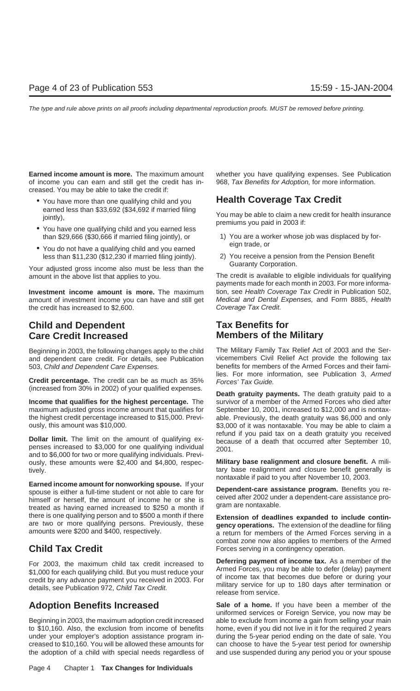**Earned income amount is more.** The maximum amount whether you have qualifying expenses. See Publication of income you can earn and still get the credit has in-<br>968, Tax Benefits for Adoption, for more information. creased. You may be able to take the credit if:

- You have more than one qualifying child and you **Health Coverage Tax Credit**
- 
- You do not have a qualifying child and you earned<br>less than \$11.230 (\$12.230 if married filing jointly). <br>2) You receive a pension from the Pension Benefit less than \$11,230 (\$12,230 if married filing jointly).

Guaranty Corporation. Your adjusted gross income also must be less than the

amount of investment income you can have and still get Medical and Dental Expenses, and Form 8885, Health the credit has increased to \$2,600. Coverage Tax Credit.

# **Child and Dependent Tax Benefits for**

and dependent care credit. For details, see Publication vicemembers Civil Relief Act provide the following tax 503, Child and Dependent Care Expenses. benefits for members of the Armed Forces and their fami-

**Credit percentage.** The credit can be as much as 35% Forces' Tax Guide. (increased from 30% in 2002) of your qualified expenses. **Death gratuity payments.** The death gratuity paid to a

**Income that qualifies for the highest percentage.** The survivor of a member of the Armed Forces who died after maximum adjusted gross income amount that qualifies for September 10, 2001, increased to \$12,000 and is nontaxthe highest credit percentage increased to \$15,000. Previ- able. Previously, the death gratuity was \$6,000 and only ously, this amount was \$10,000. **\$3,000** of it was nontaxable. You may be able to claim a

and to \$6,000 for two or more qualifying individuals. Previously, these amounts were \$2,400 and \$4,800, respec- **Military base realignment and closure benefit.** A militively. tary base realignment and closure benefit generally is

Earned income amount for nonworking spouse. If your<br>spouse is either a full-time student or not able to care for<br>himself or herself, the amount of income he or she is<br>treated as having earned increased to \$250 a month if<br>g there is one qualifying person and to \$500 a month if there<br>are two or more qualifying persons. Previously, these<br>amounts were \$200 and \$400, respectively.<br>a return for members of the Armed Forces serving in a

Beginning in 2003, the maximum adoption credit increased able to exclude from income a gain from selling your main to \$10,160. Also, the exclusion from income of benefits home, even if you did not live in it for the required 2 years under your employer's adoption assistance program in- during the 5-year period ending on the date of sale. You creased to \$10,160. You will be allowed these amounts for can choose to have the 5-year test period for ownership the adoption of a child with special needs regardless of and use suspended during any period you or your spouse

earned less than \$33,692 (\$34,692 if married filing<br>jointly),<br>You may be able to claim a new credit for health insurance<br>You have one qualifying child and you earned less<br>Premiums you paid in 2003 if:

- than \$29,666 (\$30,666 if married filing jointly), or 1) You are a worker whose job was displaced by for-
	-

amount in the above list that applies to you. The credit is available to eligible individuals for qualifying payments made for each month in 2003. For more informa-**Investment income amount is more.** The maximum tion, see Health Coverage Tax Credit in Publication 502,

# **Care Credit Increased Members of the Military**

Beginning in 2003, the following changes apply to the child The Military Family Tax Relief Act of 2003 and the Serlies. For more information, see Publication 3, Armed

**Dollar limit.** The limit on the amount of qualifying ex-<br>penses increased to \$3,000 for one qualifying individual 2001.<br>2001.

nontaxable if paid to you after November 10, 2003.

combat zone now also applies to members of the Armed **Child Tax Credit** Entertainment of the Contingency operation.

For 2003, the maximum child tax credit increased to<br>\$1,000 for each qualifying child. But you must reduce your<br>credit by any advance payment you received in 2003. For<br>details, see Publication 972, *Child Tax Credit.* The r

**Adoption Benefits Increased Sale of a home.** If you have been a member of the uniformed services or Foreign Service, you now may be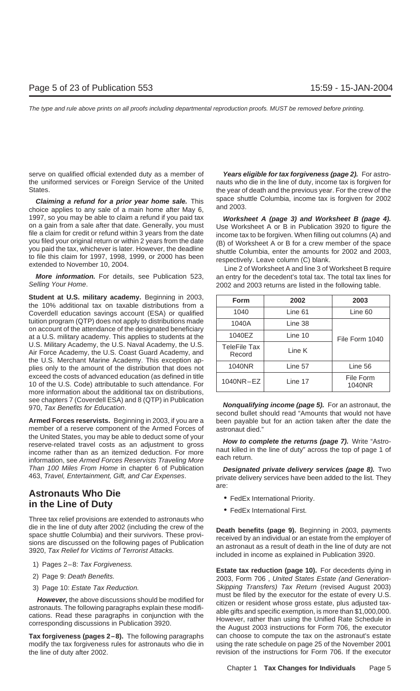serve on qualified official extended duty as a member of **Years eligible for tax forgiveness (page 2).** For astrothe uniformed services or Foreign Service of the United nauts who die in the line of duty, income tax is forgiven for States. the year of death and the previous year. For the crew of the

choice applies to any sale of a main home after May 6, 1997, so you may be able to claim a refund if you paid tax<br>
on a gain from a sale after that date. Generally, you must<br>
file a claim for credit or refund within 3 years from the date<br>
you filed your original return or with

**More information.** For details, see Publication 523, an entry for the decedent's total tax. The total tax lines for<br>2002 and 2003 returns are listed in the following table.

**Student at U.S. military academy.** Beginning in 2003, the 10% additional tax on taxable distributions from a Coverdell education savings account (ESA) or qualified tuition program (QTP) does not apply to distributions made on account of the attendance of the designated beneficiary at a U.S. military academy. This applies to students at the U.S. Military Academy, the U.S. Naval Academy, the U.S. Air Force Academy, the U.S. Coast Guard Academy, and the U.S. Merchant Marine Academy. This exception applies only to the amount of the distribution that does not exceed the costs of advanced education (as defined in title 10 of the U.S. Code) attributable to such attendance. For more information about the additional tax on distributions, see chapters 7 (Coverdell ESA) and 8 (QTP) in Publication<br>**Nonqualifying income (page 5).** For an astronaut, the second bullet should read "Amounts that would not have

**Armed Forces reservists.** Beginning in 2003, if you are a been payable but for an action taken after the date the member of a reserve component of the Armed Forces of astronaut died." the United States, you may be able to deduct some of your<br>reserve-related travel costs as an adjustment to gross<br>income rather than as an itemized deduction. For more<br>information one Armod Force Beneration Traveling March information, see Armed Forces Reservists Traveling More Than 100 Miles From Home in chapter 6 of Publication **Designated private delivery services (page 8).** Two

# **Astronauts Who Die**<br> **in the Line of Duty**<br>
• FedEx International First.

Three tax relief provisions are extended to astronauts who

- 
- 
- 

modify the tax forgiveness rules for astronauts who die in using the rate schedule on page 25 of the November 2001 the line of duty after 2002. The instructions for Form 706. If the executor

**Claiming a refund for a prior year home sale.** This space shuttle Columbia, income tax is forgiven for 2002 case of a major home of the May 6 and 2003.

2002 and 2003 returns are listed in the following table.

| Form                   | 2002    | 2003                |
|------------------------|---------|---------------------|
| 1040                   | Line 61 | Line 60             |
| 1040A                  | Line 38 |                     |
| 1040EZ                 | Line 10 | File Form 1040      |
| TeleFile Tax<br>Record | Line K  |                     |
| 1040NR                 | Line 57 | Line 56             |
| 1040NR-EZ              | Line 17 | File Form<br>1040NR |

private delivery services have been added to the list. They are:

- 
- 

die in the line of duty after 2002 (including the crew of the<br>space shuttle Columbia) and their survivors. These provi-<br>sions are discussed on the following pages of Publication<br>3920, Tax Relief for Victims of Terrorist At

1) Pages 2–8: Tax Forgiveness.<br> **Estate tax reduction (page 10).** For decedents dying in<br>
2003, Form 706, United States Estate (and Generation-3) Page 10: Estate Tax Reduction. The Skipping Transfers) Tax Return (revised August 2003) **However,** the above discussions should be modified for<br>astronauts. The following paragraphs explain these modifi-<br>cations. Read these paragraphs in conjunction with the<br>corresponding discussions in Publication 3920.<br>Howev **Tax forgiveness (pages 2–8).** The following paragraphs can choose to compute the tax on the astronaut's estate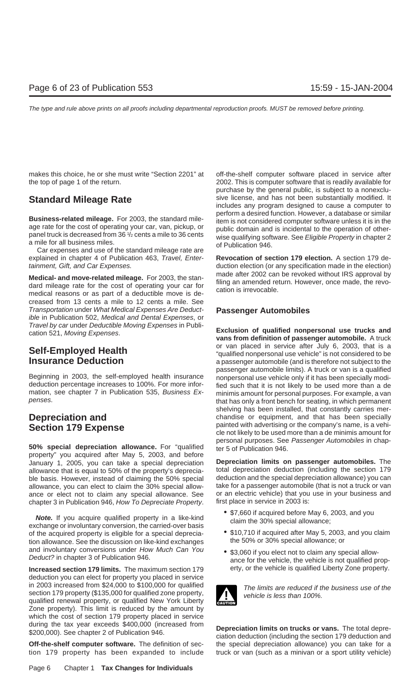makes this choice, he or she must write "Section 2201" at off-the-shelf computer software placed in service after the top of page 1 of the return. 2002. This is computer software that is readily available for

Car expenses and use of the standard mileage rate are explained in chapter 4 of Publication 463, Travel, Enter- **Revocation of section 179 election.** A section 179 de-

**Medical- and move-related mileage.** For 2003, the stan-<br>dard mileage rate for the cost of operating your car for<br>medical reasons or as part of a deductible move is de-<br>medical reasons or as part of a deductible move is de creased from 13 cents a mile to 12 cents a mile. See Transportation under What Medical Expenses Are Deduct- **Passenger Automobiles** ible in Publication 502, Medical and Dental Expenses, or

Beginning in 2003, the self-employed health insurance nonpersonal use vehicle only if it has been specially modi-<br>deduction percentage increases to 100%. For more infor-<br>fied such that it is not likely to be used more than deduction percentage increases to 100%. For more infor-<br>mation, see chapter 7 in Publication 535, *Business Ex-* minimis amount for personal purposes. For example, a van mation, see chapter 7 in Publication 535, *Business Ex*- minimis amount for personal purposes. For example, a van<br>finat has only a front bench for seating in which permanent

property" you acquired after May 5, 2003, and before January 1, 2005, you can take a special depreciation **Depreciation limits on passenger automobiles.** The allowance that is equal to 50% of the property's deprecia- total depreciation deduction (including the section 179 ble basis. However, instead of claiming the 50% special deduction and the special depreciation allowance) you can<br>allowance, you can elect to claim the 30% special allow- take for a passenger automobile (that is not a truc allowance, you can elect to claim the 30% special allowance or elect not to claim any special allowance. See or an electric vehicle) that you use in your business and chapter 3 in Publication 946, How To Depreciate Property. first place in service in 2003 is:

**FERR ACTE:** Note If you acquire qualified property in a like-kind<br>exchange or involuntary conversion, the carried-over basis<br>of the acquired property is eligible for a special deprecia-<br>**Example 30% special allowance**;<br> $$$ of the acquired property is eligible for a special deprecia-<br>tion allowance. See the discussion on like-kind exchanges the 50% or 30% special allowance; or tion allowance. See the discussion on like-kind exchanges

erty, or the vehicle is qualified Liberty Zone property. **Increased section 179 limits.** The maximum section 179 deduction you can elect for property you placed in service in 2003 increased from \$24,000 to \$100,000 for qualified The limits are reduced if the business use of the section 179 property (\$135,000 for qualified zone property, qualified renewal property, or qualified New York Liberty Zone property). This limit is reduced by the amount by which the cost of section 179 property placed in service

**Off-the-shelf computer software.** The definition of sec- the special depreciation allowance) you can take for a tion 179 property has been expanded to include truck or van (such as a minivan or a sport utility vehicle)

purchase by the general public, is subject to a nonexclu-**Standard Mileage Rate** sive license, and has not been substantially modified. It includes any program designed to cause a computer to **Business-related mileage.** For 2003, the standard mile-<br>age rate for the cost of operating your car, van, pickup, or<br>panel truck is decreased from 36 1/2 cents a mile to 36 cents<br>panel truck is decreased from 36 1/2 cents pariel truck is decreased from 36 % cents a mile to 36 cents wise qualifying software. See Eligible Property in chapter 2 a mile for all business miles.

tainment, Gift, and Car Expenses. The state of the duction election (or any specification made in the election)

Travel by car under Deductible Moving Expenses in Publi- **Exclusion of qualified nonpersonal use trucks and** cation 521, Moving Expenses. **vans from definition of passenger automobile.** A truck **Self-Employed Health** The Self-Script or van placed in service after July 6, 2003, that is a service after July 6, 2003, that is a service after July 6, 2003, that is a service attention the service in the service is not a passenger automobile (and is therefore not subject to the passenger automobile limits). A truck or van is a qualified that has only a front bench for seating, in which permanent shelving has been installed, that constantly carries mer-**Depreciation and chandise or equipment, and that has been specially Section 179 Expense Section 179 Expense Section 179 Expense** cle not likely to be used more than a de minimis amount for personal purposes. See Passenger Automobiles in chap-<br>**50% special depreciation allowance.** For "qualified ter 5 of Publication 946.

- 
- 
- and involuntary conversions under How Much Can You \$3,060 if you elect not to claim any special allow-<br>Deduct? in chapter 3 of Publication 946.<br>ance for the vehicle, the vehicle is not qualified prop-



during the tax year exceeds \$400,000 (increased from **Depreciation limits on trucks or vans.** The total depre-<br>\$200,000). See chapter 2 of Publication 946.<br>ciation deduction (including the section 179 deduction and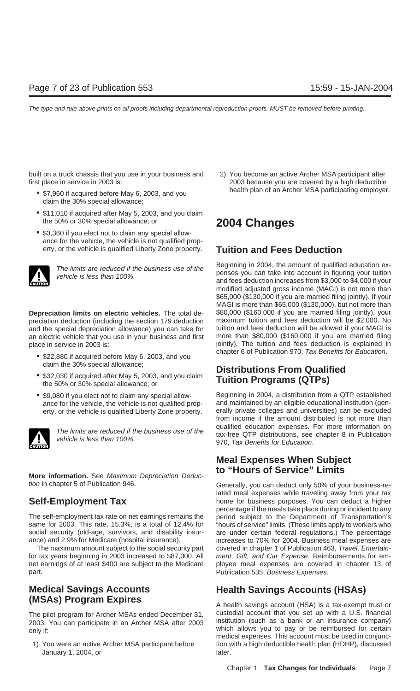built on a truck chassis that you use in your business and 2) You become an active Archer MSA participant after first place in service in 2003 is: 2003 because you are covered by a high deductible

- claim the 30% special allowance;
- \$11,010 if acquired after May 5, 2003, and you claim the 50% or 30% special allowance; or **2004 Changes** • \$3,360 if you elect not to claim any special allow-
- ance for the vehicle, the vehicle is not qualified property, or the vehicle is qualified Liberty Zone property. **Tuition and Fees Deduction**



**Depreciation limits on electric vehicles.** The total de- \$80,000 (\$160,000 if you are married filing jointly), your preciation deduction (including the section 179 deduction maximum tuition and fees deduction will be \$2,000. No and the special depreciation allowance) you can take for tuition and fees deduction will be allowed if your MAGI is<br>an electric vehicle that you use in your business and first more than \$80,000 (\$160,000 if you are married an electric vehicle that you use in your business and first place in service in 2003 is:  $j$  is:  $j$  intly). The tuition and fees deduction is explained in

- 
- 
- ance for the vehicle, the vehicle is not qualified prop-



**More information.** See Maximum Depreciation Deduction in chapter 5 of Publication 946. Generally, you can deduct only 50% of your business-re-

The self-employment tax rate on net earnings remains the period subject to the Department of Transportation's same for 2003. This rate, 15.3%, is a total of 12.4% for "hours of service" limits. (These limits apply to workers who social security (old-age, survivors, and disability insur- are under certain federal regulations.) The percentage ance) and 2.9% for Medicare (hospital insurance). increases to 70% for 2004. Business meal expenses are

for tax years beginning in 2003 increased to \$87,000. All ment, Gift, and Car Expense. Reimbursements for emnet earnings of at least \$400 are subject to the Medicare ployee meal expenses are covered in chapter 13 of part. **Publication 535, Business Expenses.** Publication 535, Business Expenses.

# **(MSAs) Program Expires**<br>A health savings account (HSA) is a tax-exempt trust or

January 1, 2004, or later.

health plan of an Archer MSA participating employer. • \$7,960 if acquired before May 6, 2003, and you

The limits are reduced if the business use of the<br>vehicle is less than 100%.<br>and fees deduction increases from \$3,000 to \$4,000 if your modified adjusted gross income (MAGI) is not more than \$65,000 (\$130,000 if you are married filing jointly). If your MAGI is more than \$65,000 (\$130,000), but not more than chapter 6 of Publication 970, Tax Benefits for Education. • \$22,880 if acquired before May 6, 2003, and you

# claim the 30% special allowance; **Distributions From Qualified** • \$32,030 if acquired after May 5, 2003, and you claim **Tuition Programs (QTPs)** the 50% or 30% special allowance; or

• \$9,080 if you elect not to claim any special allow-<br>ance for the vehicle, the vehicle is not qualified prop-<br>and maintained by an eligible educational institution (generty, or the vehicle is qualified Liberty Zone property. erally private colleges and universities) can be excluded from income if the amount distributed is not more than The limits are reduced if the business use of the qualified education expenses. For more information on<br>vehicle is less than 100%.<br>970, Tax Benefits for Education.

# **Meal Expenses When Subject**

lated meal expenses while traveling away from your tax **Self-Employment Tax** home for business purposes. You can deduct a higher percentage if the meals take place during or incident to any The maximum amount subject to the social security part covered in chapter 1 of Publication 463, Travel, Entertain-

## **Medical Savings Accounts Health Savings Accounts (HSAs)**

The pilot program for Archer MSAs ended December 31, custodial account that you set up with a U.S. financial<br>2003, You can participate in an Archer MSA after 2003 institution (such as a bank or an insurance company) institution (such as a bank or an insurance company) 2003. You can participate in an Archer MSA after 2003 which allows you to pay or be reimbursed for certain only if: medical expenses. This account must be used in conjunc-1) You were an active Archer MSA participant before tion with a high deductible health plan (HDHP), discussed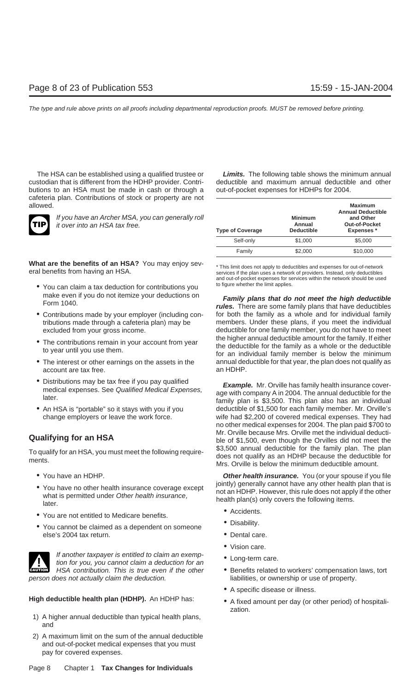custodian that is different from the HDHP provider. Contri- deductible and maximum annual deductible and other butions to an HSA must be made in cash or through a out-of-pocket expenses for HDHPs for 2004. cafeteria plan. Contributions of stock or property are not allowed. **Maximum**



If you have an Archer MSA, you can generally roll *it over into an HSA tax free.* 

What are the benefits of an HSA? You may enjoy sev-<br>eral benefits from having an HSA. This limit does not apply to deductibles and expenses for out-of-network<br>services if the plan uses a network of providers. Instead, only

- You can claim a tax deduction for contributions you to figure whether the limit applies.
- 
- 
- account are tax free.
- 
- 

- 
- 
- You are not entitled to Medicare benefits. The Accidents.
- You cannot be claimed as a dependent on someone Disability. else's 2004 tax return. • Dental care.



If another taxpayer is entitled to claim an exemp-<br>tion for you, you cannot claim a deduction for an  $\bullet$  Long-term care. Four tion for you, you cannot claim a deduction for an<br>
HSA contribution. This is true even if the other • Benefits related to workers' compensation laws, tort

**High deductible health plan (HDHP).** An HDHP has: • A fixed amount per day (or other period) of hospitali-

- 1) A higher annual deductible than typical health plans, and
- 2) A maximum limit on the sum of the annual deductible and out-of-pocket medical expenses that you must pay for covered expenses.

The HSA can be established using a qualified trustee or **Limits.** The following table shows the minimum annual

| <b>Type of Coverage</b> | <b>Minimum</b><br>Annual<br><b>Deductible</b> | <b>Maximum</b><br><b>Annual Deductible</b><br>and Other<br><b>Out-of-Pocket</b><br><b>Expenses</b> * |
|-------------------------|-----------------------------------------------|------------------------------------------------------------------------------------------------------|
| Self-only               | \$1,000                                       | \$5,000                                                                                              |
| Family                  | \$2.000                                       | \$10,000                                                                                             |

and out-of-pocket expenses for services within the network should be used

make even if you do not itemize your deductions on **Family plans that do not meet the high deductible** Form 1040. **rules.** There are some family plans that have deductibles • Contributions made by your employer (including con- for both the family as a whole and for individual family tributions made through a cafeteria plan) may be members. Under these plans, if you meet the individual excluded from your gross income. deductible for one family member, you do not have to meet • The contributions remain in your account from year<br>the deductible for the family as a whole or the deductible<br>for an individual family member is below the minimum<br>for an individual family member is below the minimum • The interest or other earnings on the assets in the annual deductible for that year, the plan does not qualify as account are tax free.

• Distributions may be tax free if you pay qualified<br>medical expenses. See Qualified Medical Expenses,<br>later.<br>later. family plan is \$3,500. This plan also has an individual • An HSA is "portable" so it stays with you if you deductible of \$1,500 for each family member. Mr. Orville's change employers or leave the work force. wife had \$2,200 of covered medical expenses. They had no other medical expenses for 2004. The plan paid \$700 to Mr. Orville because Mrs. Orville met the individual deducti-<br>ble of \$1,500, even though the Orvilles did not meet the To qualify for an HSA, you must meet the following require-<br>does not qualify as an HDHP because the deductible for<br>Mrs. Orville is below the minimum deductible amount.

• You have an HDHP. **Other health insurance.** You (or your spouse if you file • You have no other health insurance coverage except jointly) generally cannot have any other health plan that is<br>what is permitted under Other health insurance,<br>later. health plan(s) only covers the following items.

- 
- 
- 
- Vision care.
- 
- person does not actually claim the deduction. liabilities, or ownership or use of property.
	- A specific disease or illness.
	- zation.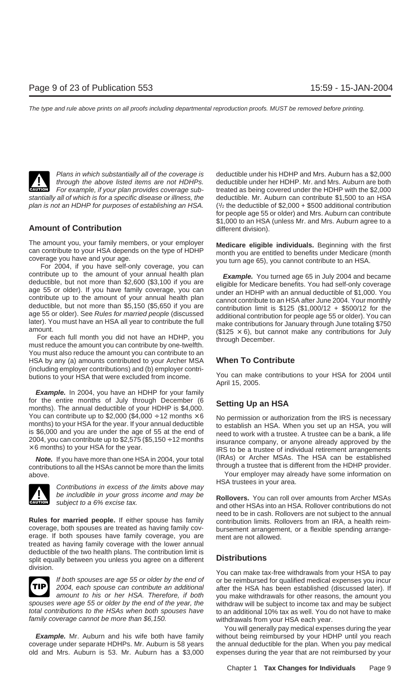

plan is not an HDHP for purposes of establishing an HSA.

## **Amount of Contribution** different division).

The amount you, your family members, or your employer<br>can contribute to your HSA depends on the type of HDHP<br>coverage you have and your age.<br>For 2004, if you have self-only coverage, you can<br>for 2004, if you have self-only

You must also reduce the amount you can contribute to an HSA by any (a) amounts contributed to your Archer MSA **When To Contribute** (including employer contributions) and (b) employer contributions to your HSA that were excluded from income. You can make contributions to your HSA for 2004 until

**Example.** In 2004, you have an HDHP for your family for the entire months of July through December (6 **Setting Up an HSA** months). The annual deductible of your HDHP is \$4,000. You can contribute up to \$2,000 (\$4,000  $\div$  12 months  $\times$  6<br>months) to your HSA for the year. If your annual deductible<br>is \$6,000 and you are under the age of 55 at the end of<br>2004, you can contribute up to \$2,575 (\$5,1



Contributions in excess of the limits above may be includible in your gross income and may be **Rollovers.** You can roll over amounts from Archer MSAs subject to a 6% excise tax.

**Rules for married people.** If either spouse has family contribution limits. Rollovers from an IRA, a health reimcoverage, both spouses are treated as having family cov- bursement arrangement, or a flexible spending arrangeerage. If both spouses have family coverage, you are ment are not allowed. treated as having family coverage with the lower annual deductible of the two health plans. The contribution limit is split equally between you unless you agree on a different **Distributions** division. You can make tax-free withdrawals from your HSA to pay



coverage under separate HDHPs. Mr. Auburn is 58 years the annual deductible for the plan. When you pay medical old and Mrs. Auburn is 53. Mr. Auburn has a \$3,000 expenses during the year that are not reimbursed by your

Plans in which substantially all of the coverage is deductible under his HDHP and Mrs. Auburn has a \$2,000 through the above listed items are not HDHPs. deductible under her HDHP. Mr. and Mrs. Auburn are both For example, if your plan provides coverage sub-<br>For example, if your plan provides coverage sub-<br>treated as being cover treated as being covered under the HDHP with the \$2,000 stantially all of which is for a specific disease or illness, the deductible. Mr. Auburn can contribute \$1,500 to an HSA  $\frac{1}{2}$  the deductible of \$2,000 + \$500 additional contribution for people age 55 or older) and Mrs. Auburn can contribute \$1,000 to an HSA (unless Mr. and Mrs. Auburn agree to a

contribute up to the amount of your annual health plan<br>deductible, but not more than \$2,600 (\$3,100 if you are<br>age 55 or older). If you have family coverage, you can<br>contribute up to the amount of your annual health plan<br>

April 15, 2005.

IRS to be a trustee of individual retirement arrangements **Note.** If you have more than one HSA in 2004, your total (IRAs) or Archer MSAs. The HSA can be established contributions to all the HSAs cannot be more than the limits through a trustee that is different from the HDHP pro

above.<br> **Above.**<br> **Above above.**<br> **Above above above above above above above a** HSA trustees in your area.

and other HSAs into an HSA. Rollover contributions do not need to be in cash. Rollovers are not subject to the annual

If both spouses are age 55 or older by the end of or be reimbursed for qualified medical expenses you incur 2004, each spouse can contribute an additional after the HSA has been established (discussed later). If a mount vou<br>I amount to his or her HSA. Therefore, if both you make withdrawals for other reasons, the amount you you make withdrawals for other reasons, the amount you spouses were age 55 or older by the end of the year, the withdraw will be subject to income tax and may be subject<br>total contributions to the HSAs when both spouses have to an additional 10% tax as well. You do not have to to an additional 10% tax as well. You do not have to make family coverage cannot be more than \$6,150. withdrawals from your HSA each year.

You will generally pay medical expenses during the year **Example.** Mr. Auburn and his wife both have family without being reimbursed by your HDHP until you reach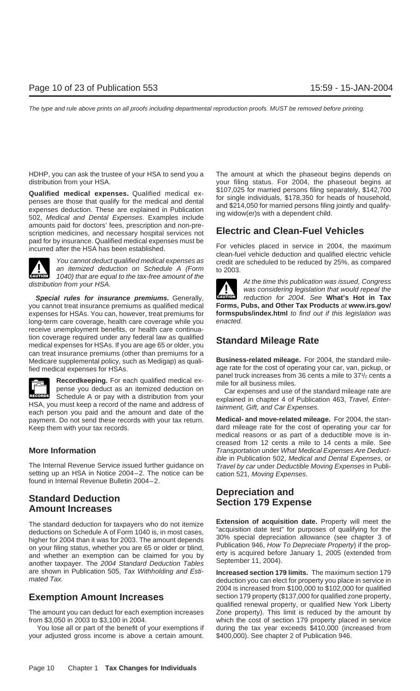HDHP, you can ask the trustee of your HSA to send you a The amount at which the phaseout begins depends on distribution from your HSA. your filing status. For 2004, the phaseout begins at

**Qualified medical expenses.** Qualified medical ex-<br>penses are those that qualify for the medical and dental<br>expenses deduction. These are explained in Publication<br>502, *Medical and Dental Expenses*. Examples include<br>time amounts paid for doctors' fees, prescription and non-prescription medicines, and necessary hospital services not **Electric and Clean-Fuel Vehicles** paid for by insurance. Qualified medical expenses must be incurred after the HSA has been established. For vehicles placed in service in 2004, the maximum



an itemized deduction on Schedule A (Form  $_{\text{to 2003}}$ , an itemized deduction on Schedule A (Form<br>
1040) that are equal to the tax-free amount of the

you cannot treat insurance premiums as qualified medical **Forms, Pubs, and Other Tax Products** at **www.irs.gov/** expenses for HSAs. You can, however, treat premiums for long-term care coverage, health care coverage while you enacted. receive unemployment benefits, or health care continuation coverage required under any federal law as qualified **Standard Mileage Rate** medical expenses for HSAs. If you are age 65 or older, you can treat insurance premiums (other than premiums for a Medicare supplemental policy, such as Medigap) as quali- **Business-related mileage.** For 2004, the standard milefied medical expenses for HSAs. The cost of operating your car, van, pickup, or



**Recordkeeping.** For each qualified medical ex-<br>pense you deduct as an itemized deduction on  $\frac{1}{2}$  or expenses and use of

payment. Do not send these records with your tax return. Keep them with your tax records. dard mileage rate for the cost of operating your car for

The Internal Revenue Service issued further guidance on Travel by car under Deductible Moving Expenses in Publisetting up an HSA in Notice 2004–2. The notice can be cation 521, Moving Expenses. found in Internal Revenue Bulletin 2004–2.

# **Depreciation and Standard Deduction Section 179 Expense Amount Increases**

and whether an exemption can be claimed for you by erty is acquired before an extended of claimed for you by September 11, 2004). another taxpayer. The 2004 Standard Deduction Tables are shown in Publication 505, Tax Withholding and Esti- **Increased section 179 limits.** The maximum section 179

from \$3,050 in 2003 to \$3,100 in 2004. which the cost of section 179 property placed in service

your adjusted gross income is above a certain amount. \$400,000). See chapter 2 of Publication 946.

clean-fuel vehicle deduction and qualified electric vehicle You cannot deduct qualified medical expenses as credit are scheduled to be reduced by 25%, as compared

distribution from your HSA.<br>distribution from your HSA. was considering legislation that would repeal the Special rules for insurance premiums. Generally, **CAUTION** reduction for 2004. See What's Hot in Tax<br>u cannot treat insurance premiums as qualified medical Forms, Pubs, and Other Tax Products at www.irs.gov/ **CAUTION** 

panel truck increases from 36 cents a mile to 371 /2 cents a

Schedule A or pay with a distribution from your<br>HSA, you must keep a record of the name and address of<br>each person you paid and the amount and date of the<br>payment. Do not send these records with your tax return. **Medical-** 

medical reasons or as part of a deductible move is increased from 12 cents a mile to 14 cents a mile. See **More Information More Information Transportation under What Medical Expenses Are Deduct**ible in Publication 502, Medical and Dental Expenses, or

The standard deduction for taxpayers who do not itemize<br>deductions on Schedule A of Form 1040 is, in most cases,<br>higher for 2004 than it was for 2003. The amount depends<br>on your filing status, whether you are 65 or older o

deduction you can elect for property you place in service in 2004 is increased from \$100,000 to \$102,000 for qualified **Exemption Amount Increases** section 179 property (\$137,000 for qualified zone property, qualified renewal property, or qualified New York Liberty The amount you can deduct for each exemption increases Zone property). This limit is reduced by the amount by You lose all or part of the benefit of your exemptions if during the tax year exceeds \$410,000 (increased from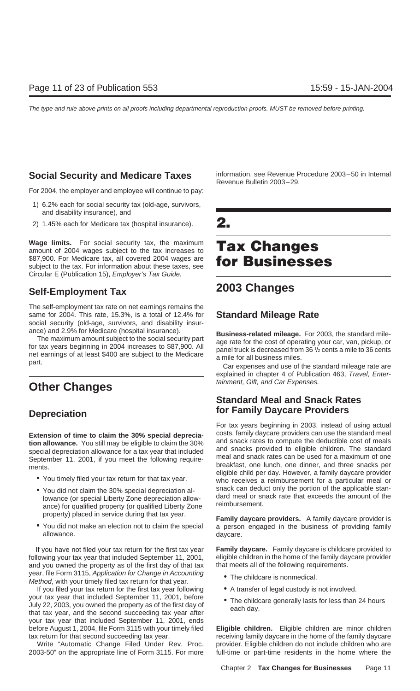For 2004, the employer and employee will continue to pay:

- 1) 6.2% each for social security tax (old-age, survivors, and disability insurance), and
- 2) 1.45% each for Medicare tax (hospital insurance). **2.**

**Wage limits.** For social security tax, the maximum amount of 2004 wages subject to the tax increases to **Tax Changes** \$87,900. For Medicare tax, all covered 2004 wages are \$87,900. For Medicare tax, all covered 2004 wages are **for Businesses** Circular E (Publication 15), Employer's Tax Guide.

## **Self-Employment Tax 2003 Changes**

The self-employment tax rate on net earnings remains the same for 2004. This rate, 15.3%, is a total of 12.4% for **Standard Mileage Rate** social security (old-age, survivors, and disability insur-

met earnings of at least \$400 are subject to the Medicare a mile for all business miles.<br>part. Car expenses and use of the standard mileage rate are

## tainment, Gift, and Car Expenses. **Other Changes**

- 
- 
- allowance. The contract of the contract of the contract of the contract of the contract of the contract of the contract of the contract of the contract of the contract of the contract of the contract of the contract of the

following your tax year that included September 11, 2001, eligible children in the home of the family daycare provider and you owned the property as of the first day of that tax that meets all of the following requirements. year, file Form 3115, Application for Change in Accounting • The childcare is nonmedical.<br>
Method, with your timely filed tax return for that year.

If you filed your tax return for the first tax year following • A transfer of legal custody is not involved.<br>your tax year that included September 11, 2001, before July 22, 2003, you owned the property as of the first day of<br>that tax year, and the second succeeding tax year after<br>that tax year, and the second succeeding tax year after your tax year that included September 11, 2001, ends before August 1, 2004, file Form 3115 with your timely filed **Eligible children.** Eligible children are minor children tax return for that second succeeding tax year. The receiving family daycare in the home of the family daycare

2003-50" on the appropriate line of Form 3115. For more full-time or part-time residents in the home where the

**Social Security and Medicare Taxes** information, see Revenue Procedure 2003–50 in Internal Revenue Bulletin 2003–29.

ance) and 2.9% for Medicare (hospital insurance).<br>The maximum amount subject to the social security part<br>for tax years beginning in 2004 increases to \$87,900. All<br>for tax years beginning in 2004 increases to \$87,900. All<br>p

explained in chapter 4 of Publication 463, Travel, Enter-

## **Standard Meal and Snack Rates for Family Daycare Providers Depreciation**

For tax years beginning in 2003, instead of using actual **Extension of time to claim the 30% special deprecia-** costs, family daycare providers can use the standard meal<br> **tion allowance.** You still may be eligible to claim the 30% and snack rates to compute the deductible cost ments.  $\ldots$ ,  $\ldots$ ,  $\ldots$ ,  $\ldots$ ,  $\ldots$ ,  $\ldots$ ,  $\ldots$ ,  $\ldots$ ,  $\ldots$ ,  $\ldots$ ,  $\ldots$ ,  $\ldots$ ,  $\ldots$ ,  $\ldots$ ,  $\ldots$ ,  $\ldots$ ,  $\ldots$ ,  $\ldots$ ,  $\ldots$ ,  $\ldots$ ,  $\ldots$ ,  $\ldots$ ,  $\ldots$ ,  $\ldots$ ,  $\ldots$ ,  $\ldots$ ,  $\ldots$ ,  $\ldots$ ,  $\ldots$ ,  $\ldots$ ,  $\ldots$ • You timely filed your tax return for that tax year. who receives a reimbursement for a particular meal or • You did not claim the 30% special depreciation al-<br>lowance (or special Liberty Zone depreciation allow-<br>ance) for qualified property (or qualified Liberty Zone<br>reimbursement.

property) placed in service during that tax year. **Family daycare providers.** A family daycare provider is • You did not make an election not to claim the special a person engaged in the business of providing family

If you have not filed your tax return for the first tax year **Family daycare.** Family daycare is childcare provided to

- 
- 
- 

Write "Automatic Change Filed Under Rev. Proc. provider. Eligible children do not include children who are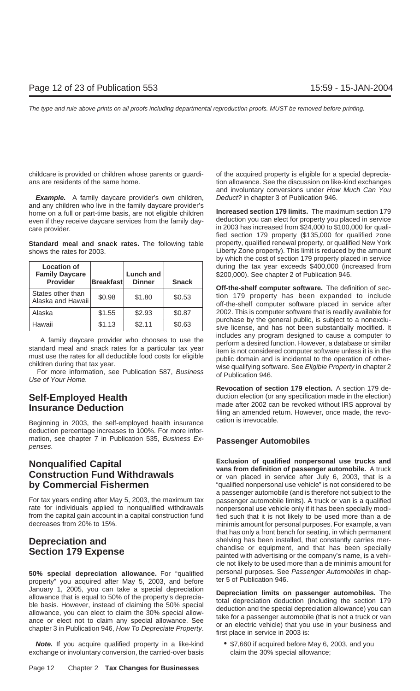childcare is provided or children whose parents or guardi- of the acquired property is eligible for a special depreciaans are residents of the same home. tion allowance. See the discussion on like-kind exchanges

**Example.** A family daycare provider's own children, Deduct? in chapter 3 of Publication 946.

| <b>Location of</b><br><b>Family Daycare</b><br><b>Provider</b> | <b>Breakfast</b> | Lunch and<br><b>Dinner</b> | <b>Snack</b> |
|----------------------------------------------------------------|------------------|----------------------------|--------------|
| States other than<br>Alaska and Hawaii                         | \$0.98           | \$1.80                     | \$0.53       |
| Alaska                                                         | \$1.55           | \$2.93                     | \$0.87       |
| Hawaii                                                         | \$1.13           | \$2.11                     | \$0.63       |

Beginning in 2003, the self-employed health insurance cation is irrevocable. deduction percentage increases to 100%. For more information, see chapter 7 in Publication 535, Business Ex- **Passenger Automobiles** penses.

For tax years ending after May 5, 2003, the maximum tax passenger automobile limits). A truck or van is a qualified rate for individuals applied to nonqualified withdrawals nonpersonal use vehicle only if it has been specially modi-<br>from the capital gain account in a capital construction fund fied such that it is not likely to be used m from the capital gain account in a capital construction fund fied such that it is not likely to be used more than a de

property" you acquired after May 5, 2003, and before January 1, 2005, you can take a special depreciation<br>allowance that is equal to 50% of the property's deprecia-<br>ble basis. However, instead of claiming the 50% special<br>allowance, you can elect to claim the 30% special allo

**Note.** If you acquire qualified property in a like-kind • \$7,660 if acquired before May 6, 2003, and you exchange or involuntary conversion, the carried-over basis claim the 30% special allowance;

and involuntary conversions under How Much Can You

and any children who live in the family daycare provider's<br>home on a full or part-time basis, are not eligible children<br>even if they receive daycare services from the family day-<br>care provider.<br>tied section 179 property (\$ **Standard meal and snack rates.** The following table property, qualified renewal property, or qualified New York shows the rates for 2003. Liberty Zone property). This limit is reduced by the amount by which the cost of section 179 property placed in service during the tax year exceeds \$400,000 (increased from \$200,000). See chapter 2 of Publication 946.

**Off-the-shelf computer software.** The definition of section 179 property has been expanded to include off-the-shelf computer software placed in service after 2002. This is computer software that is readily available for purchase by the general public, is subject to a nonexclusive license, and has not been substantially modified. It A family daycare provider who chooses to use the<br>standard meal and snack rates for a particular tax year<br>must use the rates for all deductible food costs for eligible<br>children during that tax year.<br>For more information, se

**Revocation of section 179 election.** A section 179 de-**Self-Employed Health** duction election (or any specification made in the election)<br> **Insurance Deduction**<br>
Made after 2002 can be revoked without IRS approval by **Insurance Deduction**<br>**Insurance Deduction Insurance After a set of the revoked without IRS approval by** filing an amended return. However, once made, the revo-

**Nonqualified Capital**<br> **Construction Fund Withdrawals**<br> **Construction Fund Withdrawals**<br> **Construction Fund Withdrawals**<br> **Commercial Fishermen**<br> **Commercial Fishermen**<br> **Commercial Fishermen**<br> **Commercial Fishermen**<br> **Co by Commercial Fishermen** "qualified nonpersonal use vehicle" is not considered to be a passenger automobile (and is therefore not subject to the minimis amount for personal purposes. For example, a van that has only a front bench for seating, in which permanent **Depreciation and** shelving has been installed, that constantly carries mer-<br> **Section 470 Expanse**<br> **Section 470 Expanse Section 179 Expense Section 179 Expense Section 179 Expense** painted with advertising or the company's name, is a vehicle not likely to be used more than a de minimis amount for **50% special depreciation allowance.** For "qualified personal purposes. See Passenger Automobiles in chap-<br>property" you acquired after May 5, 2003, and before ter 5 of Publication 946.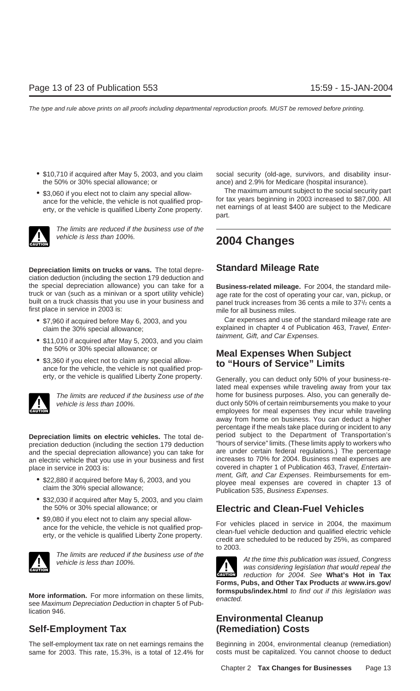- the 50% or 30% special allowance; or ance) and 2.9% for Medicare (hospital insurance).
- 



The limits are reduced if the business use of the vehicle is less than 100%.

**Depreciation limits on trucks or vans.** The total depre- **Standard Mileage Rate** ciation deduction (including the section 179 deduction and the special depreciation allowance) you can take for a **Business-related mileage.** For 2004, the standard mile-<br>truck or van (such as a minivan or a sport utility vehicle) age rate for the cost of operating your car, van, built on a truck chassis that you use in your business and first place in service in 2003 is: mile for all business miles.

- 
- $\bullet$  \$11,010 if acquired after May 5, 2003, and you claim
- 



preciation deduction (including the section 179 deduction "hours of service" limits. (These limits apply to workers who<br>and the special depreciation allowance) you can take for are under certain federal regulations.) The p and the special depreciation allowance) you can take for are under certain federal regulations.) The percentage<br>an electric vehicle that you use in your business and first increases to 70% for 2004. Business meal expenses an electric vehicle that you use in your business and first

- 
- \$32,030 if acquired after May 5, 2003, and you claim
- 



see Maximum Depreciation Deduction in chapter 5 of Publication 946.

## **Self-Employment Tax (Remediation) Costs**

The self-employment tax rate on net earnings remains the Beginning in 2004, environmental cleanup (remediation) same for 2003. This rate, 15.3%, is a total of 12.4% for costs must be capitalized. You cannot choose to deduct

• \$10,710 if acquired after May 5, 2003, and you claim social security (old-age, survivors, and disability insur-

• \$3,060 if you elect not to claim any special allow-<br>ance for the vehicle, the vehicle is not qualified prop-<br>erty, or the vehicle is qualified Liberty Zone property.<br>part. The maximum amount subject to the social securit

## **2004 Changes**

age rate for the cost of operating your car, van, pickup, or panel truck increases from 36 cents a mile to 37<sup>1</sup>/<sub>2</sub> cents a

• \$7,960 if acquired before May 6, 2003, and you Car expenses and use of the standard mileage rate are claim the 30% special allowance; explained in chapter 4 of Publication 463, Travel, Enter-<br>tainment, Gift, and Car Expenses.

# the 50% or 30% special allowance; or<br>
• \$3,360 if you elect not to claim any special allow-<br>
ance for the vehicle, the vehicle is not qualified prop-<br> **to "Hours of Service" Limits**

erty, or the vehicle is qualified Liberty Zone property. Generally, you can deduct only 50% of your business-related meal expenses while traveling away from your tax The limits are reduced if the business use of the home for business purposes. Also, you can generally devehicle is less than 100%. duct only 50% of certain reimbursements you make to your employees for meal expenses they incur while traveling away from home on business. You can deduct a higher percentage if the meals take place during or incident to any **Depreciation limits on electric vehicles.** The total de- period subject to the Department of Transportation's place in service in 2003 is: covered in chapter 1 of Publication 463, Travel, Entertain-<br>ment, Gift, and Car Expenses. Reimbursements for em-■ \$22,880 if acquired before May 6, 2003, and you ployee meal expenses are covered in chapter 13 of claim the 30% special allowance; Publication 535, Business Expenses.

## the 50% or 30% special allowance; or **Electric and Clean-Fuel Vehicles**

• \$9,080 if you elect not to claim any special allow-<br>ance for the vehicle, the vehicle is not qualified prop-<br>erty, or the vehicle is qualified Liberty Zone property.<br>credit are scheduled to be reduced by 25%, as compared to 2003.

The limits are reduced if the business use of the<br>Vehicle is less than 100%.<br>The time this publication was issued, Congress vehicle is less than 100%. was considering legislation that would repeal the<br>
reduction for 2004. See **What's Hot in Tax Forms, Pubs, and Other Tax Products** at **www.irs.gov/ formspubs/index.html** to find out if this legislation was **More information.** For more information on these limits, enacted.

# **Environmental Cleanup**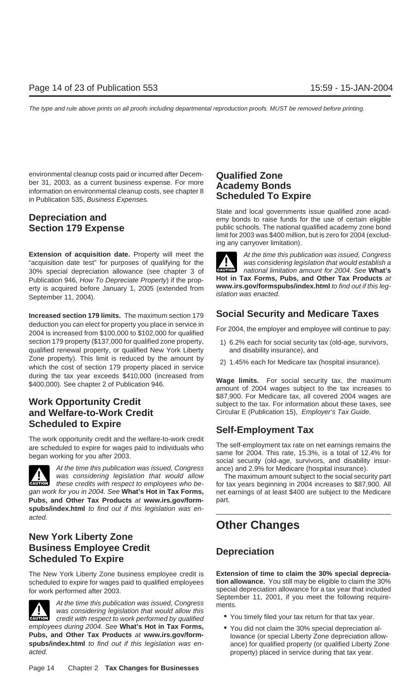environmental cleanup costs paid or incurred after Decem-<br> **Qualified Zone**<br> **Density Done** ber 31, 2003, as a current business expense. For more **Academy Bonds** information on environmental cleanup costs, see chapter 8 **Scheduled To Expire** in Publication 535, Business Expenses.

**Extension of acquisition date.** Property will meet the At the time this publication was issued, Congress "acquisition date test" for purposes of qualifying for the was considering legislation that would establish a 30% special depreciation allowance (see chapter 3 of **CAUTION** national limitation amount for 2004. See **What's** Publication 946, How To Depreciate Property) if the prop-<br>erty is acquired before January 1, 2005 (extended from www.irs.gov/formspubs/index.html to find out if this leg-<br>September 11, 2004).

deduction you can elect for property you place in service in<br>2004 is increased from \$100,000 to \$102,000 for qualified<br>For 2004, the employer and employee will continue to pay: section 179 property (\$137,000 for qualified zone property, 1) 6.2% each for social security tax (old-age, survivors, qualified renewal property, or qualified New York Liberty and disability insurance), and Zone property). This limit is reduced by the amount by 2) 1.45% each for Medicare tax (hospital insurance). which the cost of section 179 property placed in service

# **Scheduled to Expire Self-Employment Tax**

**CAUTION** 

**Pubs, and Other Tax Products** at **www.irs.gov/form-** part. **spubs/index.html** to find out if this legislation was enacted.

# **New York Liberty Zone Business Employee Credit Depreciation Scheduled To Expire**

scheduled to expire for wages paid to qualified employees **tion allowance.** You still may be eligible to claim the 30%



credit with respect to work performed by qualified • You timely filed your tax return for that tax year.

employees during 2004. See **What's Hot in Tax Forms,** • You did not claim the 30% special depreciation al-**Pubs, and Other Tax Products** at **www.irs.gov/form-** lowance (or special Liberty Zone depreciation allow-<br>**spubs/index.html** to find out if this legislation was en-<br>ance) for qualified property (or qualified Liberty Zone

**Depreciation and Depreciation and Exercise 2018** State and local governments issue qualified zone acad-<br>
emy bonds to raise funds for the use of certain eligible **Section 179 Expense public schools. The national qualified academy zone bond** limit for 2003 was \$400 million, but is zero for 2004 (excluding any carryover limitation).

**!**

## **Increased section 179 limits.** The maximum section 179 **Social Security and Medicare Taxes**

- 
- 

during the tax year exceeds \$410,000 (increased from **Wage limits.** For social security tax, the maximum \$400,000). See chapter 2 of Publication 946. **Work Opportunity Credit S87,900.** For Medicare tax, all covered 2004 wages are subject to the tax. For information about these taxes, see **and Welfare-to-Work Credit** Containst Circular E (Publication 15), *Employer's Tax Guide.* 

The work opportunity credit and the welfare-to-work credit<br>are scheduled to expire for wages paid to individuals who<br>began working for you after 2003.<br>social security (old-age, survivors, and disability insur-<br>social secur At the time this publication was issued, Congress ance) and 2.9% for Medicare (hospital insurance).

was considering legislation that would allow The maximum amount subject to the social security part these credits with respect to employees who be-<br>for tax years beginning in 2004 increases to \$87,900. All for tax years beginning in 2004 increases to \$87,900. All gan work for you in 2004. See **What's Hot in Tax Forms,** net earnings of at least \$400 are subject to the Medicare

## **Other Changes**

The New York Liberty Zone business employee credit is **Extension of time to claim the 30% special deprecia-**<br>scheduled to expire for wages paid to qualified employees **tion allowance.** You still may be eligible to claim th for work performed after 2003.<br>At the time this publication was issued, Congress<br>Mat the time this publication was issued, Congress<br>was considering legislation that would allow this

- 
- ance) for qualified property (or qualified Liberty Zone acted. **property**) placed in service during that tax year.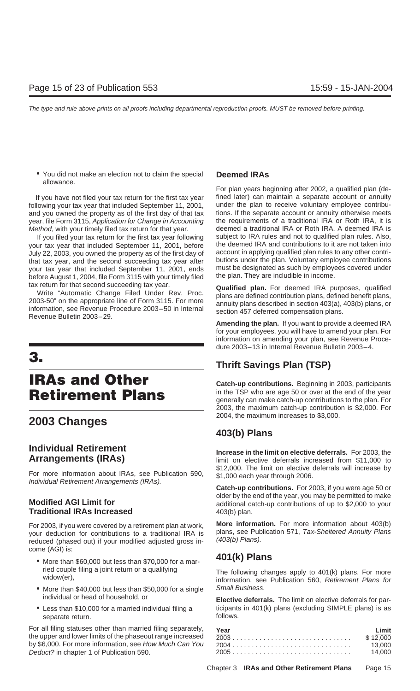• You did not make an election not to claim the special **Deemed IRAs** allowance.

following your tax year that included September 11, 2001, under the plan to receive voluntary employee contribuand you owned the property as of the first day of that tax tions. If the separate account or annuity otherwise meets<br>vear file Form 3115, Application for Change in Accounting the requirements of a traditional IRA or Roth I year, file Form 3115, Application for Change in Accounting Method, with your timely filed tax return for that year. deemed a traditional IRA or Roth IRA. A deemed IRA is

your tax year that included September 11, 2001, before the deemed IRA and contributions to it are not taken into<br>July 22, 2003, you owned the property as of the first day of account in applying qualified plan rules to any July 22, 2003, you owned the property as of the first day of account in applying qualified plan rules to any other contrithat tax year, and the second succeeding tax year after your tax year that included September 11, 2001, ends must be designated as such by employees covered under<br>hefore August 1, 2004, file Form 3115 with your timely filed the plan. They are includible in income. before August 1, 2004, file Form 3115 with your timely filed.

tax return for that second succeeding tax year.<br>
Write "Automatic Change Filed Under Rev. Proc.<br>
2003-50" on the appropriate line of Form 3115. For more<br>
information, see Revenue Procedure 2003-50 in Internal<br>
Revenue Bull

# **IRAs and Other Catch-up contributions.** Beginning in 2003, participants

## 2004, the maximum increases to \$3,000. **2003 Changes**

For more information about IRAs, see Publication 590,<br>Individual Retirement Arrangements (IRAs).<br>**Catch-up contributions.** For 2003, if you were age 50 or

# **Traditional IRAs Increased** 403(b) plan.

your deduction for contributions to a traditional IRA is plans, see Publication for contributions to a traditional IRA is  $(403(b)$  Plans). come (AGI) is:

- **401(k) Plans** More than \$60,000 but less than \$70,000 for a mar-
- More than \$40,000 but less than \$50,000 for a single Small Business.<br>individual or head of household, or
- separate return.

For all filing statuses other than married filing separately, the upper and lower limits of the phaseout range increased by \$6,000. For more information, see How Much Can You Deduct? in chapter 1 of Publication 590.

For plan years beginning after 2002, a qualified plan (de-If you have not filed your tax return for the first tax year fined later) can maintain a separate account or annuity If you filed your tax return for the first tax year following subject to IRA rules and not to qualified plan rules. Also,<br>ur tax year that included September 11, 2001, before bethe deemed IRA and contributions to it are no

**Amending the plan.** If you want to provide a deemed IRA for your employees, you will have to amend your plan. For information on amending your plan, see Revenue Procedure 2003–13 in Internal Revenue Bulletin 2003–4.

# **3. Thrift Savings Plan (TSP)**

**Retirement Plans** in the TSP who are age 50 or over at the end of the year generally can make catch-up contributions to the plan. For 2003, the maximum catch-up contribution is \$2,000. For

## **403(b) Plans**

**Individual Retirement**<br>**Increase in the limit on elective deferrals.** For 2003, the<br>**Interior Selective deferrals** increased from \$11,000 to limit on elective deferrals increased from \$11,000 to

older by the end of the year, you may be permitted to make **Modified AGI Limit for** additional catch-up contributions of up to \$2,000 to your

For 2003, if you were covered by a retirement plan at work, **More information.** For more information about 403(b)

ried couple filing a joint return or a qualifying The following changes apply to 401(k) plans. For more widow(er), information, see Publication 560, Retirement Plans for

**Elective deferrals.** The limit on elective deferrals for par-• Less than \$10,000 for a married individual filing a ticipants in 401(k) plans (excluding SIMPLE plans) is as

| Year | Limit    |
|------|----------|
|      | \$12,000 |
|      | 13.000   |
|      | 14.000   |
|      |          |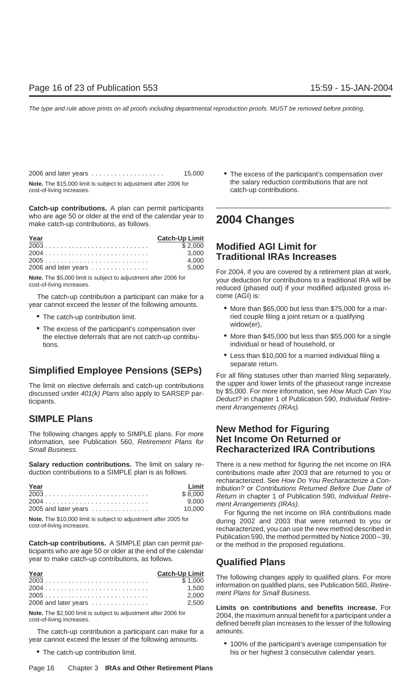cost-of-living increases. catch-up contributions.

**Catch-up contributions.** A plan can permit participants who are age 50 or older at the end of the calendar year to who are age 50 or older at the end of the calendar year to **2004 Changes** make catch-up contributions, as follows.

| Year                 | <b>Catch-Up Limit</b> |
|----------------------|-----------------------|
|                      | \$2.000               |
|                      | 3.000                 |
|                      | 4.000                 |
| 2006 and later years | 5.000                 |

The catch-up contribution a participant can make for a come (AGI) is: year cannot exceed the lesser of the following amounts. • More than \$65,000 but less than \$75,000 for a mar-

- 
- The excess of the participant's compensation over<br>the elective deferrals that are not catch-up contribu-<br>More than \$45,000 but less than \$55,000 for a single the elective deferrals that are not catch-up contributions. individual or head of household, or

## **Simplified Employee Pensions (SEPs)** For all filing statuses other than married filing separately,

## **SIMPLE Plans**

**New Method for Figuring** The following changes apply to SIMPLE plans. For more **Net Income On Returned or** information, see Publication 560, Retirement Plans for Small Business. **Recharacterized IRA Contributions**

| Year                                               | Limit   |
|----------------------------------------------------|---------|
|                                                    | \$8,000 |
|                                                    | 9.000   |
| 2005 and later years $\ldots \ldots \ldots \ldots$ | 10,000  |

**Catch-up contributions.** A SIMPLE plan can permit par- or the method in the proposed regulations. ticipants who are age 50 or older at the end of the calendar year to make catch-up contributions, as follows. **Qualified Plans**

| Year                 | <b>Catch-Up Limit</b> |
|----------------------|-----------------------|
|                      | \$1.000               |
|                      | 1.500                 |
|                      | 2.000                 |
| 2006 and later years | 2.500                 |

The catch-up contribution a participant can make for a amounts. year cannot exceed the lesser of the following amounts. • 100% of the participant's average compensation for

2006 and later years ................... 15,000 • The excess of the participant's compensation over Note. The \$15,000 limit is subject to adjustment after 2006 for the salary reduction contributions that are not

## **Modified AGI Limit for Traditional IRAs Increases**

For 2004, if you are covered by a retirement plan at work,<br>Note. The \$5,000 limit is subject to adjustment after 2006 for<br>cost-of-living increases.<br>reduced (phased out) if your modified adjusted gross in-

- The catch-up contribution limit.  $\blacksquare$  ried couple filing a joint return or a qualifying vidow(er),
	-
	- Less than \$10,000 for a married individual filing a separate return.

The limit on elective deferrals and catch-up contributions the upper and lower limits of the phaseout range increase by \$5,000. For more information, see How Much Can You discussed under 401(k) Plans also apply to SARSEP par-<br>ticipants. Deduct? in chapter 1 of Publication 590, Individual Retire-<br>ment Arrangements (IRAs).

**Salary reduction contributions.** The limit on salary re-<br>duction contributions to a SIMPLE plan is as follows.<br>contributions made after 2003 that are returned to you or contributions made after 2003 that are returned to you or recharacterized. See How Do You Recharacterize a Con-**Year Limit** tribution? or Contributions Returned Before Due Date of Return in chapter 1 of Publication 590, Individual Retire-

<sup>2004</sup> ........................... 9,000 ment Arrangements (IRAs). 2005 and later years ............... 10,000 For figuring the net income on IRA contributions made **Note.** The \$10,000 limit is subject to adjustment after 2005 for during 2002 and 2003 that were returned to you or cost-of-living increases. recharacterized, you can use the new method described in Publication 590, the method permitted by Notice 2000–39,

The following changes apply to qualified plans. For more information on qualified plans, see Publication 560, Retirement Plans for Small Business.

2006 and later years ............... 2,500 **Limits on contributions and benefits increase.** For **Note.** The \$2,500 limit is subject to adjustment after 2006 for 2004, the maximum annual benefit for a participant under a cost-of-living increases.<br>defined benefit plan increases to the lesser of the following

• The catch-up contribution limit.  $\blacksquare$  his or her highest 3 consecutive calendar years.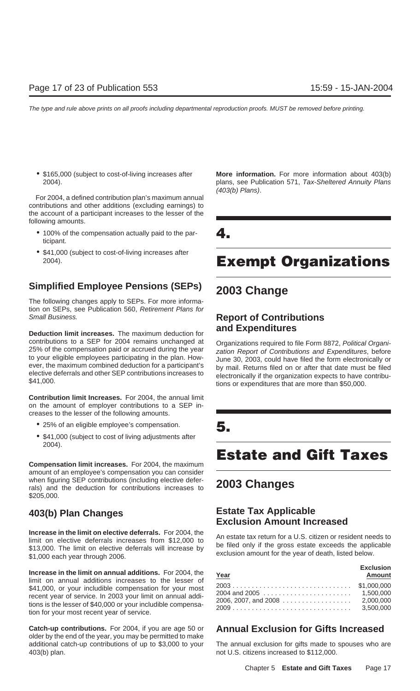For 2004, a defined contribution plan's maximum annual contributions and other additions (excluding earnings) to the account of a participant increases to the lesser of the following amounts.

- 100% of the compensation actually paid to the par-<br>**4.** ticipant.
- \$41,000 (subject to cost-of-living increases after

## **Simplified Employee Pensions (SEPs) 2003 Change**

The following changes apply to SEPs. For more information on SEPs, see Publication 560, Retirement Plans for Small Business.

**and Expenditures Deduction limit increases.** The maximum deduction for contributions to a SEP for 2004 remains unchanged at Organizations required to file Form 8872, Political Organi-<br>25% of the compensation paid or accrued during the year zation Report of Contributions and Expenditures, befo

**Contribution limit Increases.** For 2004, the annual limit on the amount of employer contributions to a SEP increases to the lesser of the following amounts.

- 
- 25% of an eligible employee's compensation. **5.** \$41,000 (subject to cost of living adjustments after 2004).

**Compensation limit increases.** For 2004, the maximum amount of an employee's compensation you can consider when figuring SEP contributions (including elective deferrals) and the deduction for contributions increases to **2003 Changes** \$205,000.

Increase in the limit on elective deferrals. For 2004, the<br>limit on elective deferrals increases from \$12,000 to<br>\$13,000. The limit on elective deferrals will increase by<br>\$1,000 each year through 2006.<br>\$1,000 each year thr

**Increase in the limit on annual additions.** For 2004, the limit on annual additions increases to the lesser of \$41,000, or your includible compensation for your most<br>recent year of service. In 2003 your limit on annual addi-<br>tions is the lesser of \$40,000 or your includible compensa-<br>tion for your most recent year of service.

**Catch-up contributions.** For 2004, if you are age 50 or **Annual Exclusion for Gifts Increased** older by the end of the year, you may be permitted to make additional catch-up contributions of up to \$3,000 to your The annual exclusion for gifts made to spouses who are 403(b) plan. not U.S. citizens increased to \$112,000.

• \$165,000 (subject to cost-of-living increases after **More information.** For more information about 403(b) 2004). **plans, see Publication 571, Tax-Sheltered Annuity Plans** (403(b) Plans).

## 2004). **Exempt Organizations**

# **Report of Contributions**

to your eligible employees participating in the plan. How-<br>ever, the maximum combined deduction for a participant's<br>elective deferrals and other SEP contributions increases to<br>\$41,000.<br>tions or expenditures that are more t

## **Estate and Gift Taxes**

## **403(b) Plan Changes Estate Tax Applicable Exclusion Amount Increased**

| Year | <b>Exclusion</b><br>Amount |
|------|----------------------------|
|      |                            |
|      |                            |
|      |                            |
|      |                            |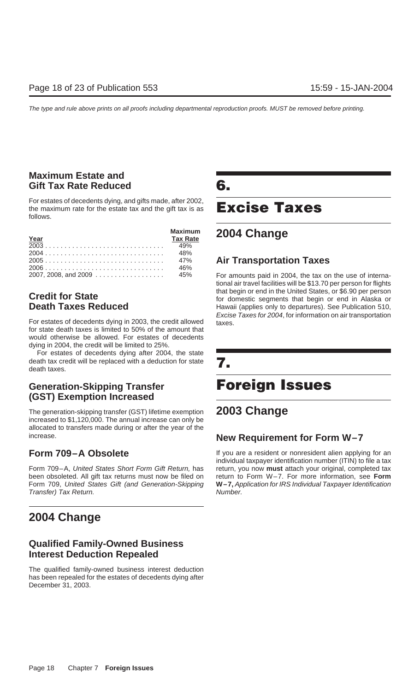## **Maximum Estate and Gift Tax Rate Reduced 6.**

For estates of decedents dying, and gifts made, after 2002, For estates of decedents dying, and gifts made, after zooz,<br>the maximum rate for the estate tax and the gift tax is as **Excise Taxes** follows.

| Year                                                          | <b>Maximur</b><br><b>Tax Rate</b> |
|---------------------------------------------------------------|-----------------------------------|
|                                                               |                                   |
|                                                               |                                   |
|                                                               |                                   |
|                                                               |                                   |
|                                                               |                                   |
| 2007, 2008, and 2009 $\ldots \ldots \ldots \ldots \ldots$ 45% |                                   |

For estates of decedents dying in 2003, the credit allowed taxes. for state death taxes is limited to 50% of the amount that would otherwise be allowed. For estates of decedents dying in 2004, the credit will be limited to 25%.

For estates of decedents dying after 2004, the state death tax credit will be replaced with a deduction for state **7.** death taxes.

# **(GST) Exemption Increased**

The generation-skipping transfer (GST) lifetime exemption **2003 Change** increased to \$1,120,000. The annual increase can only be allocated to transfers made during or after the year of the

Form 709–A, United States Short Form Gift Return, has return, you now **must** attach your original, completed tax been obsoleted. All gift tax returns must now be filed on return to Form W–7. For more information, see **Form** Form 709, United States Gift (and Generation-Skipping **W–7,** Application for IRS Individual Taxpayer Identification Transfer) Tax Return. Number.

## **2004 Change**

## **Qualified Family-Owned Business Interest Deduction Repealed**

The qualified family-owned business interest deduction has been repealed for the estates of decedents dying after December 31, 2003.

## **m 2004 Change**

## **Air Transportation Taxes**

For amounts paid in 2004, the tax on the use of international air travel facilities will be \$13.70 per person for flights **Credit for State**<br> **Credit for State**<br> **Credit for State**<br> **Credit for State** for **Credit in Alaska or the United States**, or \$6.90 per person for domestic segments that begin or end in Alaska or<br>
Hawaii (applies only to Hawaii (applies only to departures). See Publication 510, Excise Taxes for 2004, for information on air transportation

## **Generation-Skipping Transfer Foreign Issues**

## increase. **New Requirement for Form W–7**

**Form 709–A Obsolete** If you are a resident or nonresident alien applying for an individual taxpayer identification number (ITIN) to file a tax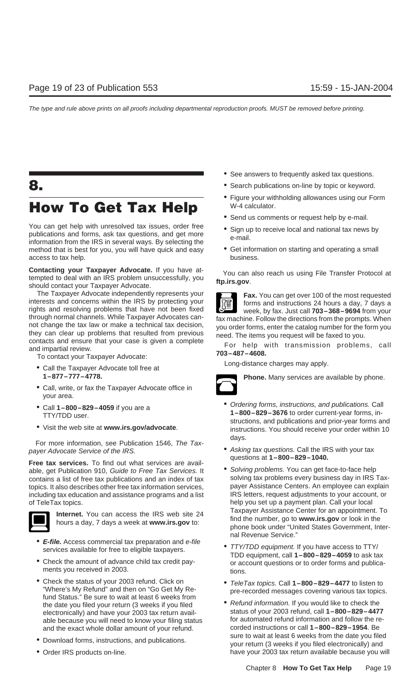# **How To Get Tax Help** W-4 calculator.

You can get help with unresolved tax issues, order free<br>publications and forms, ask tax questions, and get more<br>information from the IRS in several ways. By selecting the<br>e-mail. method that is best for you, you will have quick and easy • Get information on starting and operating a small access to tax help. **business**.

**Contacting your Taxpayer Advocate.** If you have at-<br>tempted to deal with an IRS problem unsuccessfully, you<br>should contact your Taxpayer Advocate.<br>the interest of the irs.gov.

The Taxpayer Advocate independently represents your<br>interests and concerns within the IRS by protecting your<br>rights and resolving problems that have not been fixed<br>through normal channels. While Taxpayer Advocates can-<br>not

- Long-distance charges may apply. Call the Taxpayer Advocate toll free at
- Call, write, or fax the Taxpayer Advocate office in your area.
- 
- 

days. For more information, see Publication 1546, The Taxpayer Advocate Service of the IRS. • The Section of the IRS with your tax payer Advocate Service of the IRS.

**Free tax services.** To find out what services are available, get Publication 910, Guide to Free Tax Services. It <br>contains a list of free tax publications and an index of tax solving tax problems every business day in IRS Taxcontains a list of free tax publications and an index of tax topics. It also describes other free tax information services, payer Assistance Centers. An employee can explain<br>including tax education and assistance programs and a list IRS letters, request adjustments to your account, including tax education and assistance programs and a list of TeleTax topics. help you set up a payment plan. Call your local



- 
- 
- Check the status of your 2003 refund. Click on TeleTax topics. Call **1–800–829–4477** to listen to "Where's My Refund" and then on "Go Get My Re-"Where's My Refund" and then on "Go Get My Re- pre-recorded messages covering various tax topics.<br>fund Status." Be sure to wait at least 6 weeks from the date you filed your return (3 weeks if you filed • Refund information. If you would like to check the able because you will need to know your filing status for automated refund information and follow the re-
- 
- 
- See answers to frequently asked tax questions.
- **8.** Search publications on-line by topic or keyword.
	- Figure your withholding allowances using our Form
	- Send us comments or request help by e-mail.
	-
	-



**1–877–777–4778. Phone.** Many services are available by phone.

- Ordering forms, instructions, and publications. Call Call **1–800–829–4059** if you are a **1–800–829–3676** to order current-year forms, in- TTY/TDD user. • Visit the web site at **www.irs.gov/advocate**. **instructions** You should receive your order within 10
	- questions at **1–800–829–1040.**
	- **Internet.** You can access the IRS web site 24<br>
	hours a day, 7 days a week at www.irs.gov to:<br>
	hours a day, 7 days a week at www.irs.gov to:<br>
	phone book under "United States Government, Internal Revenue Service."
- *E-file.* Access commercial tax preparation and *e-file*<br>services available for free to eligible taxpayers.<br>• Check the amount of advance child tax credit pay-<br>ments you received in 2003.<br>• Check the amount of advance c
	-
- electronically) and have your 2003 tax return avail-<br>able because you will need to know your filing status for automated refund information and follow the reand the exact whole dollar amount of your refund. corded instructions or call **1–800–829–1954**. Be<br>sure to wait at least 6 weeks from the date you filed • Download forms, instructions, and publications. your return (3 weeks if you filed electronically) and your return (3 weeks if you filed electronically) and • Order IRS products on-line. have your 2003 tax return available because you will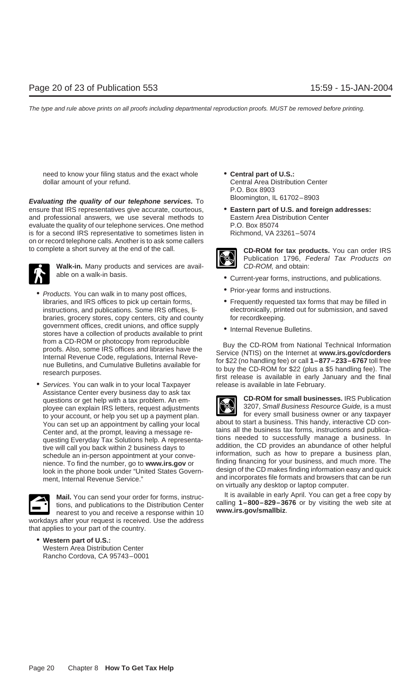need to know your filing status and the exact whole **• Central part of U.S.:** dollar amount of your refund. The state of the Central Area Distribution Center

Bloomington, IL 61702–8903 **Evaluating the quality of our telephone services.** To ensure that IRS representatives give accurate, courteous, • **Eastern part of U.S. and foreign addresses:** and professional answers, we use several methods to Eastern Area Distribution Center evaluate the quality of our telephone services. One method P.O. Box 85074 is for a second IRS representative to sometimes listen in Richmond, VA 23261-5074 on or record telephone calls. Another is to ask some callers to complete a short survey at the end of the call. **CD-ROM for tax products.** You can order IRS



**Walk-in.** Many products and services are avail- CD-ROM, and obtain:

- Prior-year forms and instructions.<br>• Products. You can walk in to many post offices, instructions, and publications. Some IRS offices, libraries, grocery stores, copy centers, city and county for recordkeeping. government offices, credit unions, and office supply **•** Internal Revenue Bulletins.<br>stores have a collection of products available to print
- Services. You can walk in to your local Taxpayer release is available in late February. Assistance Center every business day to ask tax<br>questions or get help with a tax problem. An em-<br>ployee can explain IRS letters, request adjustments<br>to your account, or help you set up a payment plan.<br>to your account, or h



workdays after your request is received. Use the address

that applies to your part of the country.

• **Western part of U.S.:** Western Area Distribution Center Rancho Cordova, CA 95743–0001

- P.O. Box 8903
- 



Publication 1796, Federal Tax Products on

- able on a walk-in basis.  $\bullet$  Current-year forms, instructions, and publications.
	-
- libraries, and IRS offices to pick up certain forms,<br>
instructions, and publications. Some IRS offices, li-<br>
electronically, printed out for submission, and saved
	-

from a CD-ROM or photocopy from reproducible<br>proofs. Also, some IRS offices and libraries have the<br>Internal Revenue Code, regulations, Internal Reve-<br>nue Bulletins, and Cumulative Bulletins available for<br>research purposes.

You can set up an appointment by calling your local about to start a business. This handy, interactive CD con-Center and, at the prompt, leaving a message re-<br>
retains all the business tax forms, instructions and publica-<br>
retains tions needed to successfully manage a business. In questing Everyday Tax Solutions help. A representa-<br>tive will call you back within 2 business days to<br>schedule an in-person appointment at your conve-<br>nience. To find the number, go to www.irs.gov or<br>finding financing for design of the Cause of the CD makes finding information easy and quick look in the phone book under "United States Government, Internal Revenue Service." and incorporates file formats and browsers that can be run on virtually any desktop or laptop computer.

Mail. You can send your order for forms, instruc-<br>It is available in early April. You can get a free copy by calling **1–800–829–3676** or by visiting the web site at tions, and publications to the Distribution Center **www.irs.gov/smallbiz**. nearest to you and receive a response within 10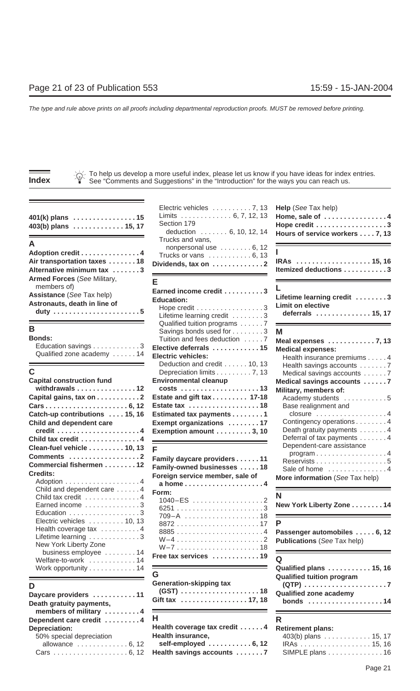To help us develop a more useful index, please let us know if you have ideas for index entries. **Index** See "Comments and Suggestions" in the "Introduction" for the ways you can reach us.

| 401(k) plans 15<br>403(b) plans  15, 17                                                                               | Limits 6, 7, 12, 13<br>Section 179<br>deduction 6, 10, 12, 14                                                                 | Home, sale of 4<br>Hope credit 3<br>Hours of service workers 7, 13 |
|-----------------------------------------------------------------------------------------------------------------------|-------------------------------------------------------------------------------------------------------------------------------|--------------------------------------------------------------------|
| Α<br>Adoption credit 4<br>Air transportation taxes 18<br>Alternative minimum tax 3                                    | Trucks and vans,<br>nonpersonal use $\dots \dots 6, 12$<br>Trucks or vans $\dots\dots\dots\dots$ 6, 13<br>Dividends, tax on 2 | Itemized deductions 3                                              |
| <b>Armed Forces (See Military,</b><br>members of)<br><b>Assistance</b> (See Tax help)<br>Astronauts, death in line of | Earned income credit 3<br><b>Education:</b><br>Hope credit 3 Limit on elective<br>Lifetime learning credit $\dots \dots 3$    | Lifetime learning credit 3<br>deferrals  15, 17                    |

| DONUS.                   |  |  |  |  |
|--------------------------|--|--|--|--|
| Education savings        |  |  |  |  |
| Qualified zone academy 1 |  |  |  |  |

| <b>Capital construction fund</b><br>withdrawals 12   | <b>Environmental cleanup</b>    | Medical savings accounts 7<br>Military, members of: |
|------------------------------------------------------|---------------------------------|-----------------------------------------------------|
| Capital gains, tax on 2                              | Estate and gift tax 17-18       | Academy students 5                                  |
|                                                      | Estate tax 18                   | Base realignment and                                |
| Catch-up contributions  15, 16                       | Estimated tax payments 1        | closure 4                                           |
| Child and dependent care                             | Exempt organizations 17         | Contingency operations 4                            |
| $credit \dots \dots \dots \dots \dots \dots \dots 4$ | Exemption amount 3, 10          | Death gratuity payments 4                           |
| Child tax credit 4                                   |                                 | Deferral of tax payments 4                          |
| Clean-fuel vehicle 10, 13                            | F.                              | Dependent-care assistance                           |
| Comments 2                                           | Family daycare providers 11     | program4                                            |
| Commercial fishermen 12                              | Family-owned businesses 18      |                                                     |
| <b>Credits:</b>                                      | Foreign service member, sale of | Sale of home 4                                      |
|                                                      |                                 | More information (See Tax help)                     |
| Child and dependent care 4                           | Form:                           |                                                     |
| Child tax credit 4                                   |                                 | N                                                   |
| Earned income 3                                      |                                 | New York Liberty Zone 14                            |
| Education 3                                          |                                 |                                                     |
| Electric vehicles 10, 13                             | 887217                          | P                                                   |
| Health coverage tax 4                                | 88854                           | Passenger automobiles 6, 12                         |
| Lifetime learning 3                                  |                                 | <b>Publications (See Tax help)</b>                  |
| New York Liberty Zone                                | W-718                           |                                                     |
| business employee 14                                 | Free tax services 19            |                                                     |
| Welfare-to-work 14                                   |                                 | Q                                                   |
| Work opportunity $\dots \dots \dots \dots 14$        |                                 | Qualified plans  15, 16                             |

| Daycare providers 11<br>Death gratuity payments,   | Gift tax 17, 18                                | Qualified zone academy<br>bonds 14 |
|----------------------------------------------------|------------------------------------------------|------------------------------------|
| members of military 4<br>Dependent care credit 4 H |                                                |                                    |
| Depreciation:                                      | Health coverage tax credit 4 Retirement plans: |                                    |
| 50% special depreciation                           | <b>Health insurance,</b>                       | 403(b) plans 15, 17                |
| allowance $\ldots \ldots \ldots \ldots 6, 12$      | self-employed $\ldots \ldots \ldots 6, 12$     | IRAs 15, 16                        |
|                                                    |                                                | SIMPLE plans 16                    |

| Electric vehicles  7, 13<br>Limits 6, 7, 12, 13<br>Section 179<br>deduction $\ldots \ldots 6, 10, 12, 14$<br>Trucks and vans, | Help (See Tax help)<br>Home, sale of<br>Hope credit<br>Hours of service w |
|-------------------------------------------------------------------------------------------------------------------------------|---------------------------------------------------------------------------|
| nonpersonal use  6, 12<br>Trucks or vans $\dots \dots \dots 6, 13$<br>ividends, tax on 2                                      | <b>IRAS</b><br><b>Itemized deduction</b>                                  |

| THEITIDELS OIT<br><b>Assistance</b> (See Tax help)<br>Astronauts, death in line of | Earned income credit 3<br><b>Education:</b><br>Hope credit $\dots\dots\dots\dots\dots\dots3$<br>Lifetime learning credit 3 | Lifetime learning credit 3<br><b>Limit on elective</b><br>deferrals  15, 17 |
|------------------------------------------------------------------------------------|----------------------------------------------------------------------------------------------------------------------------|-----------------------------------------------------------------------------|
| В                                                                                  | Qualified tuition programs 7<br>Savings bonds used for 3                                                                   | M                                                                           |
| <b>Bonds:</b>                                                                      | Tuition and fees deduction 7                                                                                               | Meal expenses 7, 13                                                         |
| Education savings 3                                                                | Elective deferrals 15                                                                                                      | <b>Medical expenses:</b>                                                    |
| Qualified zone academy 14                                                          | <b>Electric vehicles:</b>                                                                                                  | Health insurance premiums 4                                                 |
|                                                                                    | Deduction and credit 10, 13                                                                                                | Health savings accounts 7                                                   |
| C.                                                                                 | Depreciation limits 7, 13                                                                                                  | Medical savings accounts 7                                                  |
| <b>Capital construction fund</b>                                                   | <b>Environmental cleanup</b>                                                                                               | Medical savings accounts 7                                                  |
| withdrawals 12                                                                     |                                                                                                                            | Military, members of:                                                       |
| Capital gains, tax on 2                                                            | Estate and gift tax 17-18                                                                                                  | Academy students 5                                                          |
|                                                                                    | Estate tax 18                                                                                                              | Base realignment and                                                        |
| Catch-up contributions  15, 16                                                     | Estimated tax payments 1                                                                                                   | closure 4                                                                   |
| <b>Child and dependent care</b>                                                    | Exempt organizations 17                                                                                                    | Contingency operations 4                                                    |
|                                                                                    | Exemption amount 3, 10                                                                                                     | Death gratuity payments 4                                                   |
| Child tax credit 4                                                                 |                                                                                                                            | Deferral of tax payments 4                                                  |
| $\mathcal{O}$ laan foolooloolaala ka ka 10 d $\mathcal{O}$                         |                                                                                                                            | Dependent-care assistance                                                   |

| )mments 2<br>ommercial fishermen 12<br>edits:     | Family daycare providers 11<br>Family-owned businesses 18<br>Foreign service member, sale of | program <del>4</del><br>Sale of home 4<br><b>More information (See Tax help)</b> |
|---------------------------------------------------|----------------------------------------------------------------------------------------------|----------------------------------------------------------------------------------|
| Child and dependent care 4                        | Form:                                                                                        |                                                                                  |
| Child tax credit 4                                |                                                                                              |                                                                                  |
| Earned income 3                                   |                                                                                              | New York Liberty Zone 14                                                         |
| Education 3                                       |                                                                                              |                                                                                  |
| Electric vehicles  10, 13                         |                                                                                              |                                                                                  |
| Health coverage tax 4                             |                                                                                              |                                                                                  |
| Lifetime learning $\ldots \ldots \ldots \ldots 3$ | 88854                                                                                        | Passenger automobiles 6, 12                                                      |
|                                                   |                                                                                              | <b>Publications (See Tax help)</b>                                               |
| New York Liberty Zone                             | W-718                                                                                        |                                                                                  |
| business employee $\dots \dots 14$                | Free tax services 19                                                                         |                                                                                  |
| Welfare-to-work 14                                |                                                                                              |                                                                                  |

| . .                      |                 |         |
|--------------------------|-----------------|---------|
| Daycare providers 11     |                 |         |
|                          | Gift tax 17, 18 | , bonds |
| Death gratuity payments, |                 |         |

| lealth coverage tax credit 4                        |  |
|-----------------------------------------------------|--|
| lealth insurance,                                   |  |
| self-employed  6, 12                                |  |
| المقمود والمستمر والمستورد والمستحل والقارض والقاري |  |

| Help (See Tax help)            |  |
|--------------------------------|--|
| Home, sale of 4                |  |
|                                |  |
| Hours of service workers 7, 13 |  |
|                                |  |

|                           | Adoption credit 4 Trucks or vans 6, 13 '                    |                       |
|---------------------------|-------------------------------------------------------------|-----------------------|
|                           | Air transportation taxes 18 Dividends, tax on 2 IRAs 15, 16 |                       |
| Alternative minimum tax 3 |                                                             | Itemized deductions 3 |

| Lifetime learning credit 3 |  |  |  |  |
|----------------------------|--|--|--|--|
| Limit on elective          |  |  |  |  |
|                            |  |  |  |  |

| Meal expenses 7, 13                            |
|------------------------------------------------|
| <b>Medical expenses:</b>                       |
| Health insurance premiums 4                    |
| Health savings accounts 7                      |
| Medical savings accounts 7                     |
| Medical savings accounts 7                     |
| Military, members of:                          |
| Academy students 5                             |
| Base realignment and                           |
| closure 4                                      |
| Contingency operations 4                       |
| Death gratuity payments 4                      |
| Deferral of tax payments 4                     |
| Dependent-care assistance                      |
| $program \ldots \ldots \ldots \ldots \ldots 4$ |
|                                                |
| Sale of home 4                                 |
| More information (See Tax help)                |
|                                                |

| Passenger automobiles 6, 12        |  |
|------------------------------------|--|
| <b>Publications</b> (See Tax help) |  |

| $V$ Clidi $E$ -l $U$ -W $U$ IN $\ldots \ldots \ldots \ldots$<br>Work opportunity 14 |                                | Qualified plans  15, 16          |
|-------------------------------------------------------------------------------------|--------------------------------|----------------------------------|
|                                                                                     | <b>Generation-skipping tax</b> | <b>Qualified tuition program</b> |
| sycare providers 11<br>ath gratuity payments,                                       | Gift tax 17, 18                | <b>Qualified zone academy</b>    |
|                                                                                     |                                |                                  |

| epreciation:             | Health coverage tax credit 4 Retirement plans:                                                     |                     |
|--------------------------|----------------------------------------------------------------------------------------------------|---------------------|
| 50% special depreciation | <b>Health insurance.</b>                                                                           | 403(b) plans 15, 17 |
|                          | allowance $\ldots \ldots \ldots \ldots 6, 12$ self-employed $\ldots \ldots \ldots 6, 12$           | RAs 15, 16          |
|                          | Cars ..................6, 12 <b>Health savings accounts .......7</b> SIMPLE plans ..............16 |                     |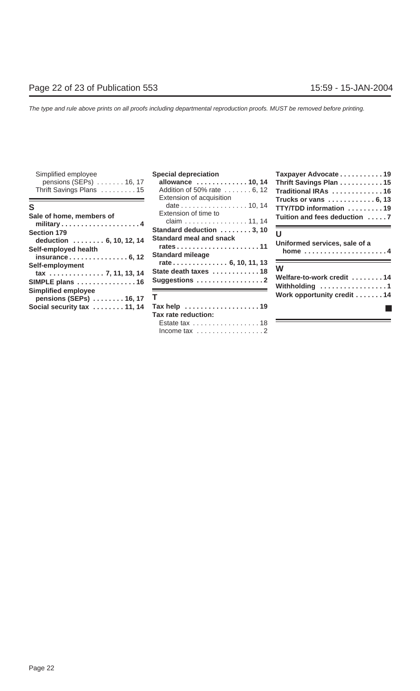| Sale of home, members of<br>military4                                                                                   | Extension of time to<br>claim 11, 14                                                                             | Tuition and fees deduction 7                                               |
|-------------------------------------------------------------------------------------------------------------------------|------------------------------------------------------------------------------------------------------------------|----------------------------------------------------------------------------|
| <b>Section 179</b><br>deduction  6, 10, 12, 14<br>Self-employed health<br>$insurance \ldots \ldots \ldots \ldots 6, 12$ | Standard deduction  3, 10<br><b>Standard meal and snack</b><br>rates11<br><b>Standard mileage</b>                | Uniformed services, sale of a<br>home $\ldots \ldots \ldots \ldots \ldots$ |
| Self-employment<br>SIMPLE plans 16                                                                                      | rate 6, 10, 11, 13<br>State death taxes  18<br>Suggestions 2                                                     | W<br>Welfare-to-work credit  14                                            |
| <b>Simplified employee</b><br>pensions (SEPs) $\dots \dots \dots 16$ , 17                                               |                                                                                                                  | Withholding 1<br>Work opportunity credit 14                                |
| Social security tax  11, 14                                                                                             | The contract of the state of the contract of the contract of the contract of the contract of the contract of the |                                                                            |

| Simplified employee<br>pensions (SEPs) $\ldots \ldots \ldots$ 16, 17<br>Thrift Savings Plans  15<br>lle of home, members of | <b>Special depreciation</b><br>allowance  10, 14<br>Addition of 50% rate  6, 12<br>Extension of acquisition<br>date 10, 14<br>Extension of time to<br>claim 11, 14 | Taxpayer Advocate 19<br>Thrift Savings Plan 15<br>Traditional IRAs 16<br>Trucks or vans  6, 13<br>TTY/TDD information 19<br>Tuition and fees deduction 7 |
|-----------------------------------------------------------------------------------------------------------------------------|--------------------------------------------------------------------------------------------------------------------------------------------------------------------|----------------------------------------------------------------------------------------------------------------------------------------------------------|
| military4<br>ction 179<br>deduction  6, 10, 12, 14<br>If-employed health<br>insurance6, 12                                  | Standard deduction  3, 10<br><b>Standard meal and snack</b><br>rates11<br><b>Standard mileage</b>                                                                  | Uniformed services, sale of a<br>home 4                                                                                                                  |
| <b>If-employment</b><br>tax 7, 11, 13, 14<br>MPLE plans $\ldots \ldots \ldots \ldots \ldots$ 16<br>mplified employee        | rate 6, 10, 11, 13<br>State death taxes  18<br>Suggestions 2                                                                                                       | W<br>Welfare-to-work credit 14<br>Withholding 1<br>Work opportunity credit 14                                                                            |
| $pensions (SEPs)$ 16, 17<br>ocial security tax $\dots \dots 11, 14$                                                         | Tax help $\ldots \ldots \ldots \ldots \ldots \ldots 19$                                                                                                            |                                                                                                                                                          |

Estate tax . . . . . . . . . . . . . . . . . 18 Income tax .................2

**Tax rate reduction:**

| Simplified employee<br>pensions (SEPs) $\dots \dots 16$ , 17<br>Thrift Savings Plans  15 | <b>Special depreciation</b>                                            | Taxpayer Advocate19<br>allowance  10, 14 Thrift Savings Plan  15<br>Addition of 50% rate  6, 12 Traditional IRAs  16 |
|------------------------------------------------------------------------------------------|------------------------------------------------------------------------|----------------------------------------------------------------------------------------------------------------------|
| S<br>Sale of home, members of                                                            | Extension of acquisition<br>Extension of time to<br>$11 \t14$<br>claim | Trucks or vans $\dots \dots \dots \dots 6, 13$<br>date 10, 14 TTY/TDD information 19<br>Tuition and fees deduction 7 |

| Welfare-to-work credit  14 |  |
|----------------------------|--|
| Withholding 1              |  |
| Work opportunity credit 14 |  |
|                            |  |